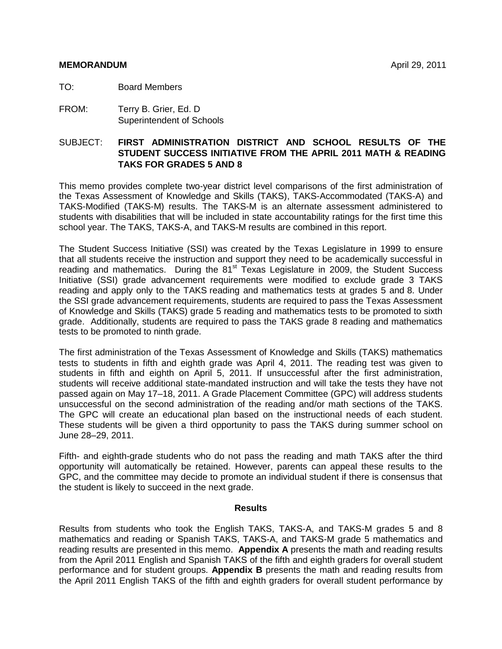#### **MEMORANDUM** April 29, 2011

#### TO: Board Members

FROM: Terry B. Grier, Ed. D Superintendent of Schools

#### SUBJECT: **FIRST ADMINISTRATION DISTRICT AND SCHOOL RESULTS OF THE STUDENT SUCCESS INITIATIVE FROM THE APRIL 2011 MATH & READING TAKS FOR GRADES 5 AND 8**

This memo provides complete two-year district level comparisons of the first administration of the Texas Assessment of Knowledge and Skills (TAKS), TAKS-Accommodated (TAKS-A) and TAKS-Modified (TAKS-M) results. The TAKS-M is an alternate assessment administered to students with disabilities that will be included in state accountability ratings for the first time this school year. The TAKS, TAKS-A, and TAKS-M results are combined in this report.

The Student Success Initiative (SSI) was created by the Texas Legislature in 1999 to ensure that all students receive the instruction and support they need to be academically successful in reading and mathematics. During the  $81<sup>st</sup>$  Texas Legislature in 2009, the Student Success Initiative (SSI) grade advancement requirements were modified to exclude grade 3 TAKS reading and apply only to the TAKS reading and mathematics tests at grades 5 and 8. Under the SSI grade advancement requirements, students are required to pass the Texas Assessment of Knowledge and Skills (TAKS) grade 5 reading and mathematics tests to be promoted to sixth grade. Additionally, students are required to pass the TAKS grade 8 reading and mathematics tests to be promoted to ninth grade.

The first administration of the Texas Assessment of Knowledge and Skills (TAKS) mathematics tests to students in fifth and eighth grade was April 4, 2011. The reading test was given to students in fifth and eighth on April 5, 2011. If unsuccessful after the first administration, students will receive additional state-mandated instruction and will take the tests they have not passed again on May 17–18, 2011. A Grade Placement Committee (GPC) will address students unsuccessful on the second administration of the reading and/or math sections of the TAKS. The GPC will create an educational plan based on the instructional needs of each student. These students will be given a third opportunity to pass the TAKS during summer school on June 28–29, 2011.

Fifth- and eighth-grade students who do not pass the reading and math TAKS after the third opportunity will automatically be retained. However, parents can appeal these results to the GPC, and the committee may decide to promote an individual student if there is consensus that the student is likely to succeed in the next grade.

#### **Results**

Results from students who took the English TAKS, TAKS-A, and TAKS-M grades 5 and 8 mathematics and reading or Spanish TAKS, TAKS-A, and TAKS-M grade 5 mathematics and reading results are presented in this memo. **Appendix A** presents the math and reading results from the April 2011 English and Spanish TAKS of the fifth and eighth graders for overall student performance and for student groups. **Appendix B** presents the math and reading results from the April 2011 English TAKS of the fifth and eighth graders for overall student performance by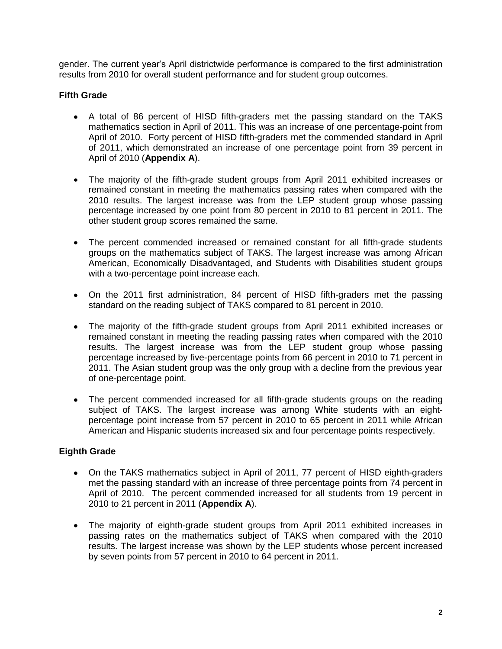gender. The current year's April districtwide performance is compared to the first administration results from 2010 for overall student performance and for student group outcomes.

#### **Fifth Grade**

- A total of 86 percent of HISD fifth-graders met the passing standard on the TAKS mathematics section in April of 2011. This was an increase of one percentage-point from April of 2010. Forty percent of HISD fifth-graders met the commended standard in April of 2011, which demonstrated an increase of one percentage point from 39 percent in April of 2010 (**Appendix A**).
- The majority of the fifth-grade student groups from April 2011 exhibited increases or remained constant in meeting the mathematics passing rates when compared with the 2010 results. The largest increase was from the LEP student group whose passing percentage increased by one point from 80 percent in 2010 to 81 percent in 2011. The other student group scores remained the same.
- The percent commended increased or remained constant for all fifth-grade students groups on the mathematics subject of TAKS. The largest increase was among African American, Economically Disadvantaged, and Students with Disabilities student groups with a two-percentage point increase each.
- On the 2011 first administration, 84 percent of HISD fifth-graders met the passing standard on the reading subject of TAKS compared to 81 percent in 2010.
- The majority of the fifth-grade student groups from April 2011 exhibited increases or remained constant in meeting the reading passing rates when compared with the 2010 results. The largest increase was from the LEP student group whose passing percentage increased by five-percentage points from 66 percent in 2010 to 71 percent in 2011. The Asian student group was the only group with a decline from the previous year of one-percentage point.
- The percent commended increased for all fifth-grade students groups on the reading subject of TAKS. The largest increase was among White students with an eightpercentage point increase from 57 percent in 2010 to 65 percent in 2011 while African American and Hispanic students increased six and four percentage points respectively.

#### **Eighth Grade**

- On the TAKS mathematics subject in April of 2011, 77 percent of HISD eighth-graders met the passing standard with an increase of three percentage points from 74 percent in April of 2010. The percent commended increased for all students from 19 percent in 2010 to 21 percent in 2011 (**Appendix A**).
- The majority of eighth-grade student groups from April 2011 exhibited increases in passing rates on the mathematics subject of TAKS when compared with the 2010 results. The largest increase was shown by the LEP students whose percent increased by seven points from 57 percent in 2010 to 64 percent in 2011.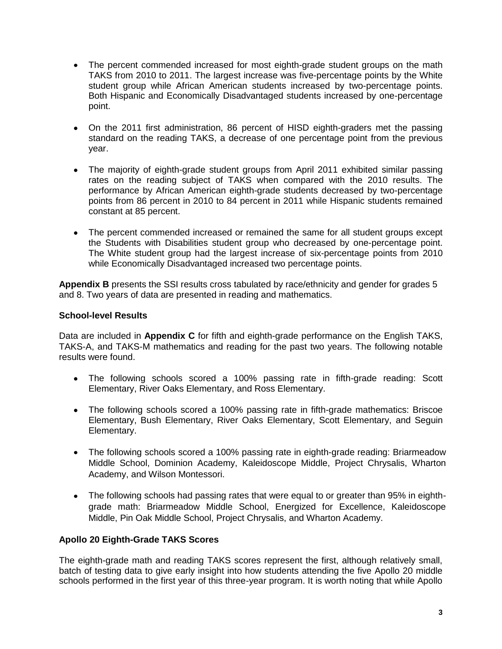- The percent commended increased for most eighth-grade student groups on the math TAKS from 2010 to 2011. The largest increase was five-percentage points by the White student group while African American students increased by two-percentage points. Both Hispanic and Economically Disadvantaged students increased by one-percentage point.
- On the 2011 first administration, 86 percent of HISD eighth-graders met the passing standard on the reading TAKS, a decrease of one percentage point from the previous year.
- The majority of eighth-grade student groups from April 2011 exhibited similar passing rates on the reading subject of TAKS when compared with the 2010 results. The performance by African American eighth-grade students decreased by two-percentage points from 86 percent in 2010 to 84 percent in 2011 while Hispanic students remained constant at 85 percent.
- The percent commended increased or remained the same for all student groups except the Students with Disabilities student group who decreased by one-percentage point. The White student group had the largest increase of six-percentage points from 2010 while Economically Disadvantaged increased two percentage points.

**Appendix B** presents the SSI results cross tabulated by race/ethnicity and gender for grades 5 and 8. Two years of data are presented in reading and mathematics.

#### **School-level Results**

Data are included in **Appendix C** for fifth and eighth-grade performance on the English TAKS, TAKS-A, and TAKS-M mathematics and reading for the past two years. The following notable results were found.

- The following schools scored a 100% passing rate in fifth-grade reading: Scott Elementary, River Oaks Elementary, and Ross Elementary.
- The following schools scored a 100% passing rate in fifth-grade mathematics: Briscoe Elementary, Bush Elementary, River Oaks Elementary, Scott Elementary, and Seguin Elementary.
- The following schools scored a 100% passing rate in eighth-grade reading: Briarmeadow Middle School, Dominion Academy, Kaleidoscope Middle, Project Chrysalis, Wharton Academy, and Wilson Montessori.
- The following schools had passing rates that were equal to or greater than 95% in eighthgrade math: Briarmeadow Middle School, Energized for Excellence, Kaleidoscope Middle, Pin Oak Middle School, Project Chrysalis, and Wharton Academy.

#### **Apollo 20 Eighth-Grade TAKS Scores**

The eighth-grade math and reading TAKS scores represent the first, although relatively small, batch of testing data to give early insight into how students attending the five Apollo 20 middle schools performed in the first year of this three-year program. It is worth noting that while Apollo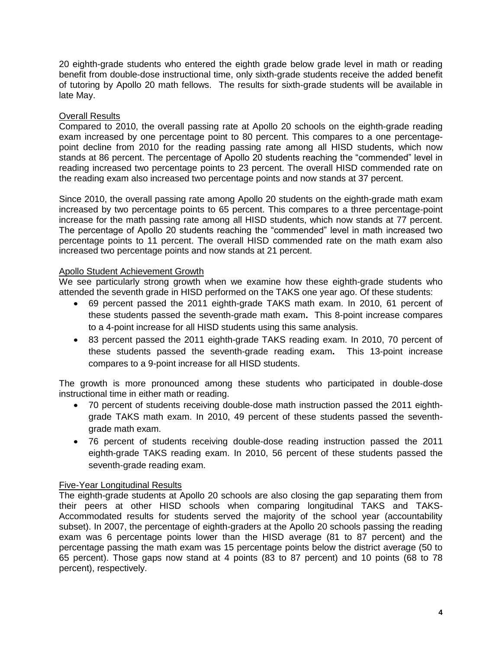20 eighth-grade students who entered the eighth grade below grade level in math or reading benefit from double-dose instructional time, only sixth-grade students receive the added benefit of tutoring by Apollo 20 math fellows. The results for sixth-grade students will be available in late May.

#### **Overall Results**

Compared to 2010, the overall passing rate at Apollo 20 schools on the eighth-grade reading exam increased by one percentage point to 80 percent. This compares to a one percentagepoint decline from 2010 for the reading passing rate among all HISD students, which now stands at 86 percent. The percentage of Apollo 20 students reaching the "commended" level in reading increased two percentage points to 23 percent. The overall HISD commended rate on the reading exam also increased two percentage points and now stands at 37 percent.

Since 2010, the overall passing rate among Apollo 20 students on the eighth-grade math exam increased by two percentage points to 65 percent. This compares to a three percentage-point increase for the math passing rate among all HISD students, which now stands at 77 percent. The percentage of Apollo 20 students reaching the "commended" level in math increased two percentage points to 11 percent. The overall HISD commended rate on the math exam also increased two percentage points and now stands at 21 percent.

#### Apollo Student Achievement Growth

We see particularly strong growth when we examine how these eighth-grade students who attended the seventh grade in HISD performed on the TAKS one year ago. Of these students:

- 69 percent passed the 2011 eighth-grade TAKS math exam. In 2010, 61 percent of these students passed the seventh-grade math exam**.** This 8-point increase compares to a 4-point increase for all HISD students using this same analysis.
- 83 percent passed the 2011 eighth-grade TAKS reading exam. In 2010, 70 percent of these students passed the seventh-grade reading exam**.** This 13-point increase compares to a 9-point increase for all HISD students.

The growth is more pronounced among these students who participated in double-dose instructional time in either math or reading.

- 70 percent of students receiving double-dose math instruction passed the 2011 eighthgrade TAKS math exam. In 2010, 49 percent of these students passed the seventhgrade math exam.
- 76 percent of students receiving double-dose reading instruction passed the 2011 eighth-grade TAKS reading exam. In 2010, 56 percent of these students passed the seventh-grade reading exam.

#### Five-Year Longitudinal Results

The eighth-grade students at Apollo 20 schools are also closing the gap separating them from their peers at other HISD schools when comparing longitudinal TAKS and TAKS-Accommodated results for students served the majority of the school year (accountability subset). In 2007, the percentage of eighth-graders at the Apollo 20 schools passing the reading exam was 6 percentage points lower than the HISD average (81 to 87 percent) and the percentage passing the math exam was 15 percentage points below the district average (50 to 65 percent). Those gaps now stand at 4 points (83 to 87 percent) and 10 points (68 to 78 percent), respectively.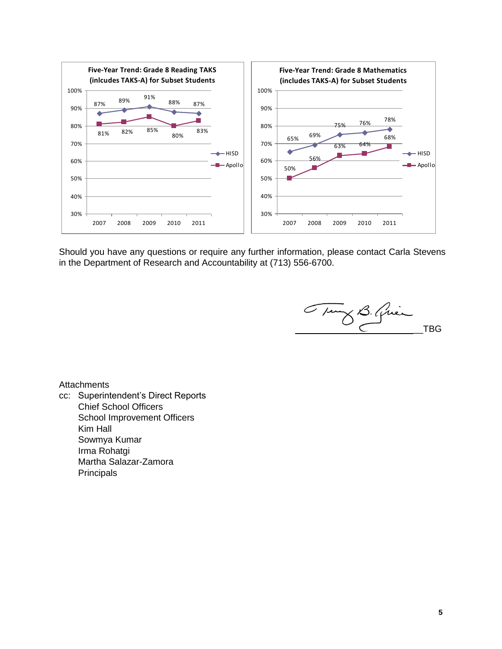

Should you have any questions or require any further information, please contact Carla Stevens in the Department of Research and Accountability at (713) 556-6700.

Tury B. Quien

**Attachments** 

cc: Superintendent's Direct Reports Chief School Officers School Improvement Officers Kim Hall Sowmya Kumar Irma Rohatgi Martha Salazar-Zamora Principals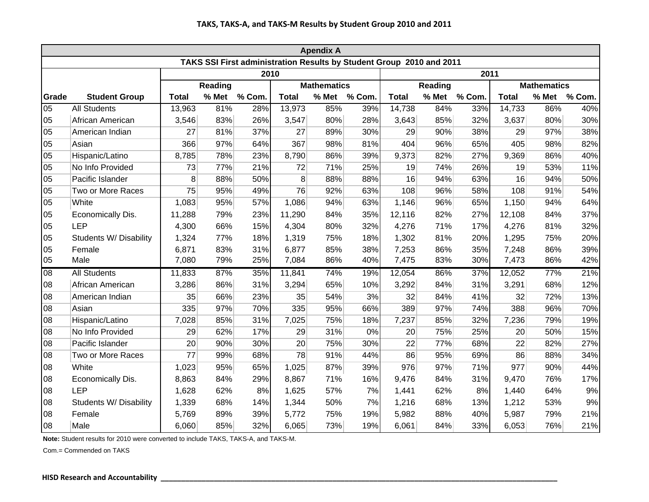|       |                        |              |         |        |              | <b>Apendix A</b>   |        |                                                                      |                |        |              |                    |        |
|-------|------------------------|--------------|---------|--------|--------------|--------------------|--------|----------------------------------------------------------------------|----------------|--------|--------------|--------------------|--------|
|       |                        |              |         |        |              |                    |        | TAKS SSI First administration Results by Student Group 2010 and 2011 |                |        |              |                    |        |
|       |                        |              |         | 2010   |              |                    |        |                                                                      |                | 2011   |              |                    |        |
|       |                        |              | Reading |        |              | <b>Mathematics</b> |        |                                                                      | <b>Reading</b> |        |              | <b>Mathematics</b> |        |
| Grade | <b>Student Group</b>   | <b>Total</b> | % Met   | % Com. | <b>Total</b> | % Met              | % Com. | <b>Total</b>                                                         | % Met          | % Com. | <b>Total</b> | % Met              | % Com. |
| 05    | <b>All Students</b>    | 13,963       | 81%     | 28%    | 13,973       | 85%                | 39%    | 14,738                                                               | 84%            | 33%    | 14,733       | 86%                | 40%    |
| 05    | African American       | 3,546        | 83%     | 26%    | 3,547        | 80%                | 28%    | 3,643                                                                | 85%            | 32%    | 3,637        | 80%                | 30%    |
| 05    | American Indian        | 27           | 81%     | 37%    | 27           | 89%                | 30%    | 29                                                                   | 90%            | 38%    | 29           | 97%                | 38%    |
| 05    | Asian                  | 366          | 97%     | 64%    | 367          | 98%                | 81%    | 404                                                                  | 96%            | 65%    | 405          | 98%                | 82%    |
| 05    | Hispanic/Latino        | 8,785        | 78%     | 23%    | 8,790        | 86%                | 39%    | 9,373                                                                | 82%            | 27%    | 9,369        | 86%                | 40%    |
| 05    | No Info Provided       | 73           | 77%     | 21%    | 72           | 71%                | 25%    | 19                                                                   | 74%            | 26%    | 19           | 53%                | 11%    |
| 05    | Pacific Islander       | 8            | 88%     | 50%    | 8            | 88%                | 88%    | 16                                                                   | 94%            | 63%    | 16           | 94%                | 50%    |
| 05    | Two or More Races      | 75           | 95%     | 49%    | 76           | 92%                | 63%    | 108                                                                  | 96%            | 58%    | 108          | 91%                | 54%    |
| 05    | White                  | 1,083        | 95%     | 57%    | 1,086        | 94%                | 63%    | 1,146                                                                | 96%            | 65%    | 1,150        | 94%                | 64%    |
| 05    | Economically Dis.      | 11,288       | 79%     | 23%    | 11,290       | 84%                | 35%    | 12,116                                                               | 82%            | 27%    | 12,108       | 84%                | 37%    |
| 05    | <b>LEP</b>             | 4,300        | 66%     | 15%    | 4,304        | 80%                | 32%    | 4,276                                                                | 71%            | 17%    | 4,276        | 81%                | 32%    |
| 05    | Students W/ Disability | 1,324        | 77%     | 18%    | 1,319        | 75%                | 18%    | 1,302                                                                | 81%            | 20%    | 1,295        | 75%                | 20%    |
| 05    | Female                 | 6,871        | 83%     | 31%    | 6,877        | 85%                | 38%    | 7,253                                                                | 86%            | 35%    | 7,248        | 86%                | 39%    |
| 05    | Male                   | 7,080        | 79%     | 25%    | 7,084        | 86%                | 40%    | 7,475                                                                | 83%            | 30%    | 7,473        | 86%                | 42%    |
| 08    | <b>All Students</b>    | 11,833       | 87%     | 35%    | 11,841       | 74%                | 19%    | 12,054                                                               | 86%            | 37%    | 12,052       | 77%                | 21%    |
| 08    | African American       | 3,286        | 86%     | 31%    | 3,294        | 65%                | 10%    | 3,292                                                                | 84%            | 31%    | 3,291        | 68%                | 12%    |
| 08    | American Indian        | 35           | 66%     | 23%    | 35           | 54%                | 3%     | 32                                                                   | 84%            | 41%    | 32           | 72%                | 13%    |
| 08    | Asian                  | 335          | 97%     | 70%    | 335          | 95%                | 66%    | 389                                                                  | 97%            | 74%    | 388          | 96%                | 70%    |
| 08    | Hispanic/Latino        | 7,028        | 85%     | 31%    | 7,025        | 75%                | 18%    | 7,237                                                                | 85%            | 32%    | 7,236        | 79%                | 19%    |
| 80    | No Info Provided       | 29           | 62%     | 17%    | 29           | 31%                | 0%     | 20                                                                   | 75%            | 25%    | 20           | 50%                | 15%    |
| 08    | Pacific Islander       | 20           | 90%     | 30%    | 20           | 75%                | 30%    | 22                                                                   | 77%            | 68%    | 22           | 82%                | 27%    |
| 08    | Two or More Races      | 77           | 99%     | 68%    | 78           | 91%                | 44%    | 86                                                                   | 95%            | 69%    | 86           | 88%                | 34%    |
| 08    | White                  | 1,023        | 95%     | 65%    | 1,025        | 87%                | 39%    | 976                                                                  | 97%            | 71%    | 977          | 90%                | 44%    |
| 08    | Economically Dis.      | 8,863        | 84%     | 29%    | 8,867        | 71%                | 16%    | 9,476                                                                | 84%            | 31%    | 9,470        | 76%                | 17%    |
| 08    | <b>LEP</b>             | 1,628        | 62%     | 8%     | 1,625        | 57%                | 7%     | 1,441                                                                | 62%            | 8%     | 1,440        | 64%                | 9%     |
| 08    | Students W/ Disability | 1,339        | 68%     | 14%    | 1,344        | 50%                | 7%     | 1,216                                                                | 68%            | 13%    | 1,212        | 53%                | $9\%$  |
| 08    | Female                 | 5,769        | 89%     | 39%    | 5,772        | 75%                | 19%    | 5,982                                                                | 88%            | 40%    | 5,987        | 79%                | 21%    |
| 08    | Male                   | 6,060        | 85%     | 32%    | 6,065        | 73%                | 19%    | 6,061                                                                | 84%            | 33%    | 6,053        | 76%                | 21%    |

**Note:** Student results for 2010 were converted to include TAKS, TAKS-A, and TAKS-M.

Com.= Commended on TAKS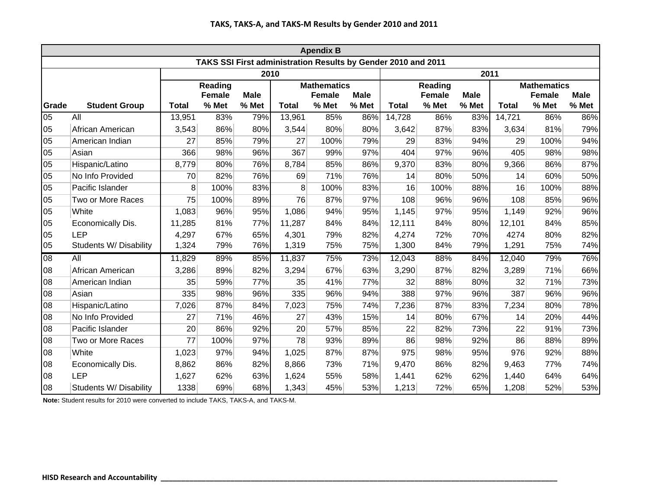|       |                               |              |                                                               |             |              | <b>Apendix B</b>             |       |              |                                 |             |              |                                     |             |
|-------|-------------------------------|--------------|---------------------------------------------------------------|-------------|--------------|------------------------------|-------|--------------|---------------------------------|-------------|--------------|-------------------------------------|-------------|
|       |                               |              | TAKS SSI First administration Results by Gender 2010 and 2011 |             |              |                              |       |              |                                 |             |              |                                     |             |
|       |                               |              |                                                               | 2010        |              |                              |       |              |                                 | 2011        |              |                                     |             |
|       |                               |              | Reading<br>Female                                             | <b>Male</b> |              | <b>Mathematics</b><br>Female | Male  |              | <b>Reading</b><br><b>Female</b> | <b>Male</b> |              | <b>Mathematics</b><br><b>Female</b> | <b>Male</b> |
| Grade | <b>Student Group</b>          | <b>Total</b> | % Met                                                         | % Met       | <b>Total</b> | % Met                        | % Met | <b>Total</b> | % Met                           | % Met       | <b>Total</b> | % Met                               | % Met       |
| 05    | All                           | 13,951       | 83%                                                           | 79%         | 13,961       | 85%                          | 86%   | 14,728       | 86%                             | 83%         | 14,721       | 86%                                 | 86%         |
| 05    | African American              | 3,543        | 86%                                                           | 80%         | 3,544        | 80%                          | 80%   | 3,642        | 87%                             | 83%         | 3,634        | 81%                                 | 79%         |
| 05    | American Indian               | 27           | 85%                                                           | 79%         | 27           | 100%                         | 79%   | 29           | 83%                             | 94%         | 29           | 100%                                | 94%         |
| 05    | Asian                         | 366          | 98%                                                           | 96%         | 367          | 99%                          | 97%   | 404          | 97%                             | 96%         | 405          | 98%                                 | 98%         |
| 05    | Hispanic/Latino               | 8,779        | 80%                                                           | 76%         | 8,784        | 85%                          | 86%   | 9,370        | 83%                             | 80%         | 9,366        | 86%                                 | 87%         |
| 05    | No Info Provided              | 70           | 82%                                                           | 76%         | 69           | 71%                          | 76%   | 14           | 80%                             | 50%         | 14           | 60%                                 | 50%         |
| 05    | Pacific Islander              | 8            | 100%                                                          | 83%         | 8            | 100%                         | 83%   | 16           | 100%                            | 88%         | 16           | 100%                                | 88%         |
| 05    | Two or More Races             | 75           | 100%                                                          | 89%         | 76           | 87%                          | 97%   | 108          | 96%                             | 96%         | 108          | 85%                                 | 96%         |
| 05    | White                         | 1,083        | 96%                                                           | 95%         | 1,086        | 94%                          | 95%   | 1,145        | 97%                             | 95%         | 1,149        | 92%                                 | 96%         |
| 05    | Economically Dis.             | 11,285       | 81%                                                           | 77%         | 11,287       | 84%                          | 84%   | 12,111       | 84%                             | 80%         | 12,101       | 84%                                 | 85%         |
| 05    | <b>LEP</b>                    | 4,297        | 67%                                                           | 65%         | 4,301        | 79%                          | 82%   | 4,274        | 72%                             | 70%         | 4274         | 80%                                 | 82%         |
| 05    | <b>Students W/ Disability</b> | 1,324        | 79%                                                           | 76%         | 1,319        | 75%                          | 75%   | 1,300        | 84%                             | 79%         | 1,291        | 75%                                 | 74%         |
| 08    | All                           | 11,829       | 89%                                                           | 85%         | 11,837       | 75%                          | 73%   | 12,043       | 88%                             | 84%         | 12,040       | 79%                                 | 76%         |
| 08    | African American              | 3,286        | 89%                                                           | 82%         | 3,294        | 67%                          | 63%   | 3,290        | 87%                             | 82%         | 3,289        | 71%                                 | 66%         |
| 08    | American Indian               | 35           | 59%                                                           | 77%         | 35           | 41%                          | 77%   | 32           | 88%                             | 80%         | 32           | 71%                                 | 73%         |
| 08    | Asian                         | 335          | 98%                                                           | 96%         | 335          | 96%                          | 94%   | 388          | 97%                             | 96%         | 387          | 96%                                 | 96%         |
| 08    | Hispanic/Latino               | 7,026        | 87%                                                           | 84%         | 7,023        | 75%                          | 74%   | 7,236        | 87%                             | 83%         | 7,234        | 80%                                 | 78%         |
| 08    | No Info Provided              | 27           | 71%                                                           | 46%         | 27           | 43%                          | 15%   | 14           | 80%                             | 67%         | 14           | 20%                                 | 44%         |
| 08    | Pacific Islander              | 20           | 86%                                                           | 92%         | 20           | 57%                          | 85%   | 22           | 82%                             | 73%         | 22           | 91%                                 | 73%         |
| 08    | Two or More Races             | 77           | 100%                                                          | 97%         | 78           | 93%                          | 89%   | 86           | 98%                             | 92%         | 86           | 88%                                 | 89%         |
| 08    | White                         | 1,023        | 97%                                                           | 94%         | 1,025        | 87%                          | 87%   | 975          | 98%                             | 95%         | 976          | 92%                                 | 88%         |
| 08    | Economically Dis.             | 8,862        | 86%                                                           | 82%         | 8,866        | 73%                          | 71%   | 9,470        | 86%                             | 82%         | 9,463        | 77%                                 | 74%         |
| 08    | <b>LEP</b>                    | 1,627        | 62%                                                           | 63%         | 1,624        | 55%                          | 58%   | 1,441        | 62%                             | 62%         | 1,440        | 64%                                 | 64%         |
| 08    | <b>Students W/ Disability</b> | 1338         | 69%                                                           | 68%         | 1,343        | 45%                          | 53%   | 1,213        | 72%                             | 65%         | 1,208        | 52%                                 | 53%         |

**Note:** Student results for 2010 were converted to include TAKS, TAKS-A, and TAKS-M.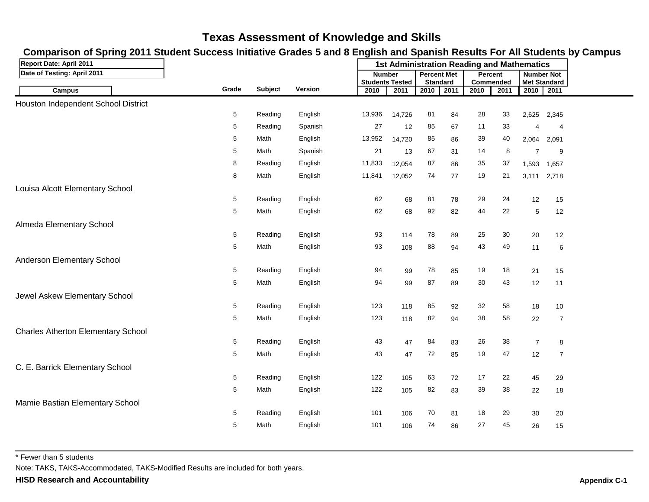# **Comparison of Spring 2011 Student Success Initiative Grades 5 and 8 English and Spanish Results For All Students by Campus**

| Report Date: April 2011                   |                 |         |         |               | <b>1st Administration Reading and Mathematics</b> |                         |      |        |                   |                |                             |  |
|-------------------------------------------|-----------------|---------|---------|---------------|---------------------------------------------------|-------------------------|------|--------|-------------------|----------------|-----------------------------|--|
| Date of Testing: April 2011               |                 |         |         | <b>Number</b> |                                                   | <b>Percent Met</b>      |      |        | Percent           |                | <b>Number Not</b>           |  |
| Campus                                    | Grade           | Subject | Version | 2010          | <b>Students Tested</b><br>2011                    | <b>Standard</b><br>2010 | 2011 | 2010   | Commended<br>2011 | 2010           | <b>Met Standard</b><br>2011 |  |
|                                           |                 |         |         |               |                                                   |                         |      |        |                   |                |                             |  |
| Houston Independent School District       | $5\phantom{.0}$ |         | English |               |                                                   |                         |      |        |                   |                |                             |  |
|                                           |                 | Reading |         | 13,936        | 14,726                                            | 81                      | 84   | 28     | 33                | 2,625          | 2,345                       |  |
|                                           | 5               | Reading | Spanish | 27            | 12                                                | 85                      | 67   | 11     | 33                | 4              | $\overline{4}$              |  |
|                                           | 5               | Math    | English | 13,952        | 14,720                                            | 85                      | 86   | 39     | 40                | 2,064          | 2,091                       |  |
|                                           | 5               | Math    | Spanish | 21            | 13                                                | 67                      | 31   | 14     | 8                 | $\overline{7}$ | 9                           |  |
|                                           | 8               | Reading | English | 11,833        | 12,054                                            | 87                      | 86   | 35     | 37                | 1,593          | 1,657                       |  |
|                                           | 8               | Math    | English | 11,841        | 12,052                                            | 74                      | 77   | 19     | 21                |                | 3,111 2,718                 |  |
| Louisa Alcott Elementary School           |                 |         |         |               |                                                   |                         |      |        |                   |                |                             |  |
|                                           | 5               | Reading | English | 62            | 68                                                | 81                      | 78   | 29     | 24                | 12             | 15                          |  |
|                                           | 5               | Math    | English | 62            | 68                                                | 92                      | 82   | 44     | 22                | $\mathbf 5$    | 12                          |  |
| Almeda Elementary School                  |                 |         |         |               |                                                   |                         |      |        |                   |                |                             |  |
|                                           | $5\phantom{.0}$ | Reading | English | 93            | 114                                               | 78                      | 89   | 25     | 30                | 20             | 12                          |  |
|                                           | 5               | Math    | English | 93            | 108                                               | 88                      | 94   | 43     | 49                | 11             | 6                           |  |
| Anderson Elementary School                |                 |         |         |               |                                                   |                         |      |        |                   |                |                             |  |
|                                           | 5               | Reading | English | 94            | 99                                                | 78                      | 85   | 19     | 18                | 21             | 15                          |  |
|                                           | 5               | Math    | English | 94            | 99                                                | 87                      | 89   | $30\,$ | 43                | 12             | 11                          |  |
| Jewel Askew Elementary School             |                 |         |         |               |                                                   |                         |      |        |                   |                |                             |  |
|                                           | 5               | Reading | English | 123           | 118                                               | 85                      | 92   | 32     | 58                | 18             | 10                          |  |
|                                           | 5               | Math    | English | 123           | 118                                               | 82                      | 94   | 38     | 58                | 22             | $\overline{7}$              |  |
| <b>Charles Atherton Elementary School</b> |                 |         |         |               |                                                   |                         |      |        |                   |                |                             |  |
|                                           | 5               | Reading | English | 43            | 47                                                | 84                      | 83   | 26     | 38                | $\overline{7}$ | 8                           |  |
|                                           | 5               | Math    | English | 43            | 47                                                | 72                      | 85   | 19     | 47                | 12             | $\overline{7}$              |  |
| C. E. Barrick Elementary School           |                 |         |         |               |                                                   |                         |      |        |                   |                |                             |  |
|                                           | 5               | Reading | English | 122           | 105                                               | 63                      | 72   | 17     | 22                | 45             | 29                          |  |
|                                           | 5               | Math    | English | 122           | 105                                               | 82                      | 83   | 39     | 38                | 22             | 18                          |  |
| Mamie Bastian Elementary School           |                 |         |         |               |                                                   |                         |      |        |                   |                |                             |  |
|                                           | 5               | Reading | English | 101           | 106                                               | 70                      | 81   | 18     | 29                | 30             | 20                          |  |
|                                           | 5               | Math    | English | 101           | 106                                               | 74                      | 86   | 27     | 45                | 26             | 15                          |  |
|                                           |                 |         |         |               |                                                   |                         |      |        |                   |                |                             |  |

\* Fewer than 5 students

Note: TAKS, TAKS-Accommodated, TAKS-Modified Results are included for both years.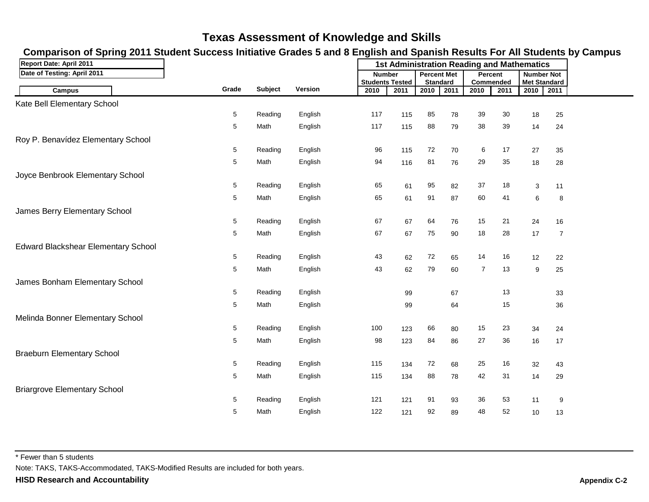| Report Date: April 2011             |       |                 |         |         |                                | <b>1st Administration Reading and Mathematics</b> |                         |      |                |                   |                             |                |  |
|-------------------------------------|-------|-----------------|---------|---------|--------------------------------|---------------------------------------------------|-------------------------|------|----------------|-------------------|-----------------------------|----------------|--|
| Date of Testing: April 2011         |       |                 |         |         | <b>Number</b>                  |                                                   | <b>Percent Met</b>      |      |                | Percent           | <b>Number Not</b>           |                |  |
| Campus                              | Grade |                 | Subject | Version | <b>Students Tested</b><br>2010 | 2011                                              | <b>Standard</b><br>2010 | 2011 | 2010           | Commended<br>2011 | <b>Met Standard</b><br>2010 | 2011           |  |
|                                     |       |                 |         |         |                                |                                                   |                         |      |                |                   |                             |                |  |
| Kate Bell Elementary School         |       |                 |         |         |                                |                                                   |                         |      |                |                   |                             |                |  |
|                                     |       | $5\phantom{.0}$ | Reading | English | 117                            | 115                                               | 85                      | 78   | 39             | 30                | 18                          | 25             |  |
|                                     |       | $\,$ 5 $\,$     | Math    | English | 117                            | 115                                               | 88                      | 79   | $38\,$         | 39                | 14                          | 24             |  |
| Roy P. Benavídez Elementary School  |       |                 |         |         |                                |                                                   |                         |      |                |                   |                             |                |  |
|                                     |       | 5               | Reading | English | 96                             | 115                                               | 72                      | 70   | 6              | 17                | 27                          | 35             |  |
|                                     |       | 5               | Math    | English | 94                             | 116                                               | 81                      | 76   | 29             | 35                | 18                          | 28             |  |
| Joyce Benbrook Elementary School    |       |                 |         |         |                                |                                                   |                         |      |                |                   |                             |                |  |
|                                     |       | 5               | Reading | English | 65                             | 61                                                | 95                      | 82   | 37             | 18                | 3                           | 11             |  |
|                                     |       | 5               | Math    | English | 65                             | 61                                                | 91                      | 87   | 60             | 41                | 6                           | 8              |  |
| James Berry Elementary School       |       |                 |         |         |                                |                                                   |                         |      |                |                   |                             |                |  |
|                                     |       | 5               | Reading | English | 67                             | 67                                                | 64                      | 76   | 15             | 21                | 24                          | 16             |  |
|                                     |       | 5               | Math    | English | 67                             | 67                                                | 75                      | 90   | 18             | 28                | 17                          | $\overline{7}$ |  |
| Edward Blackshear Elementary School |       |                 |         |         |                                |                                                   |                         |      |                |                   |                             |                |  |
|                                     |       | 5               | Reading | English | 43                             | 62                                                | 72                      | 65   | 14             | 16                | 12                          | 22             |  |
|                                     |       | 5               | Math    | English | 43                             | 62                                                | 79                      | 60   | $\overline{7}$ | 13                | $\boldsymbol{9}$            | 25             |  |
|                                     |       |                 |         |         |                                |                                                   |                         |      |                |                   |                             |                |  |
| James Bonham Elementary School      |       | 5               | Reading | English |                                | 99                                                |                         | 67   |                | 13                |                             | 33             |  |
|                                     |       |                 | Math    | English |                                |                                                   |                         |      |                | 15                |                             |                |  |
|                                     |       | 5               |         |         |                                | 99                                                |                         | 64   |                |                   |                             | 36             |  |
| Melinda Bonner Elementary School    |       |                 |         |         |                                |                                                   |                         |      |                |                   |                             |                |  |
|                                     |       | 5               | Reading | English | 100                            | 123                                               | 66                      | 80   | 15             | 23                | 34                          | 24             |  |
|                                     |       | 5               | Math    | English | 98                             | 123                                               | 84                      | 86   | $27\,$         | 36                | 16                          | 17             |  |
| <b>Braeburn Elementary School</b>   |       |                 |         |         |                                |                                                   |                         |      |                |                   |                             |                |  |
|                                     |       | 5               | Reading | English | 115                            | 134                                               | 72                      | 68   | 25             | 16                | 32                          | 43             |  |
|                                     |       | 5               | Math    | English | 115                            | 134                                               | 88                      | 78   | 42             | 31                | 14                          | 29             |  |
| <b>Briargrove Elementary School</b> |       |                 |         |         |                                |                                                   |                         |      |                |                   |                             |                |  |
|                                     |       | 5               | Reading | English | 121                            | 121                                               | 91                      | 93   | 36             | 53                | 11                          | 9              |  |
|                                     |       | 5               | Math    | English | 122                            | 121                                               | 92                      | 89   | 48             | 52                | 10                          | 13             |  |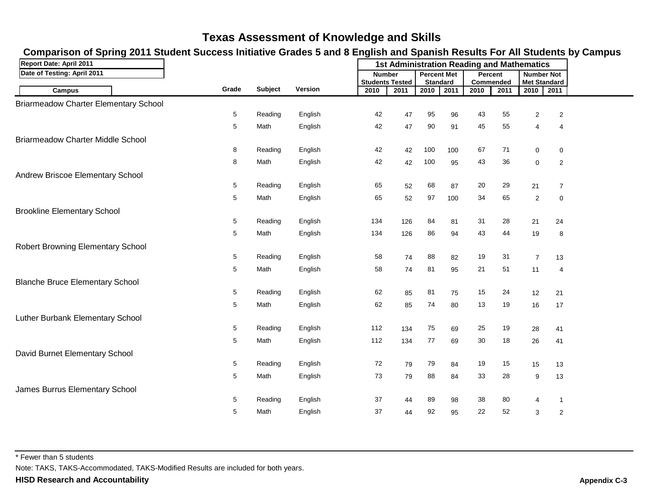| Report Date: April 2011                      |       |         |         |                                | 1st Administration Reading and Mathematics |                         |          |                   |         |                   |                             |  |
|----------------------------------------------|-------|---------|---------|--------------------------------|--------------------------------------------|-------------------------|----------|-------------------|---------|-------------------|-----------------------------|--|
| Date of Testing: April 2011                  |       |         |         | <b>Number</b>                  |                                            | <b>Percent Met</b>      |          |                   | Percent | <b>Number Not</b> |                             |  |
| <b>Campus</b>                                | Grade | Subject | Version | <b>Students Tested</b><br>2010 | 2011                                       | <b>Standard</b><br>2010 | 2011     | Commended<br>2010 | 2011    | 2010              | <b>Met Standard</b><br>2011 |  |
| <b>Briarmeadow Charter Elementary School</b> |       |         |         |                                |                                            |                         |          |                   |         |                   |                             |  |
|                                              | 5     | Reading | English | 42                             | 47                                         | 95                      | 96       | 43                | 55      | $\overline{2}$    | $\overline{2}$              |  |
|                                              | 5     | Math    | English | 42                             | 47                                         | 90                      | 91       | 45                | 55      | 4                 | 4                           |  |
| <b>Briarmeadow Charter Middle School</b>     |       |         |         |                                |                                            |                         |          |                   |         |                   |                             |  |
|                                              | 8     | Reading | English | 42                             | 42                                         | 100                     | 100      | 67                | 71      | 0                 | 0                           |  |
|                                              | 8     | Math    | English | 42                             | 42                                         | 100                     | 95       | 43                | 36      | $\mathbf 0$       | $\overline{c}$              |  |
| Andrew Briscoe Elementary School             |       |         |         |                                |                                            |                         |          |                   |         |                   |                             |  |
|                                              | 5     | Reading | English | 65                             | 52                                         | 68                      | 87       | 20                | 29      | 21                | $\overline{7}$              |  |
|                                              | 5     | Math    | English | 65                             | 52                                         | 97                      | 100      | 34                | 65      | $\overline{c}$    | 0                           |  |
| <b>Brookline Elementary School</b>           |       |         |         |                                |                                            |                         |          |                   |         |                   |                             |  |
|                                              | 5     | Reading | English | 134                            | 126                                        | 84                      | 81       | 31                | 28      | 21                | 24                          |  |
|                                              | 5     | Math    | English | 134                            | 126                                        | 86                      | 94       | 43                | 44      | 19                | 8                           |  |
| <b>Robert Browning Elementary School</b>     |       |         |         |                                |                                            |                         |          |                   |         |                   |                             |  |
|                                              | 5     | Reading | English | 58                             | 74                                         | 88                      | 82       | 19                | 31      | $\overline{7}$    | 13                          |  |
|                                              | 5     | Math    | English | 58                             | 74                                         | 81                      | 95       | 21                | 51      | 11                | 4                           |  |
| <b>Blanche Bruce Elementary School</b>       |       |         |         |                                |                                            |                         |          |                   |         |                   |                             |  |
|                                              | 5     | Reading | English | 62                             | 85                                         | 81                      | 75       | 15                | 24      | 12                | 21                          |  |
|                                              | 5     | Math    | English | 62                             | 85                                         | 74                      | 80       | 13                | 19      | 16                | 17                          |  |
| Luther Burbank Elementary School             | 5     | Reading | English | 112                            |                                            | 75                      |          | 25                | 19      |                   |                             |  |
|                                              | 5     | Math    | English | 112                            | 134                                        | $77\,$                  | 69<br>69 | 30                | 18      | 28                | 41                          |  |
|                                              |       |         |         |                                | 134                                        |                         |          |                   |         | 26                | 41                          |  |
| David Burnet Elementary School               | 5     | Reading | English | 72                             | 79                                         | 79                      | 84       | 19                | 15      | 15                | 13                          |  |
|                                              | 5     | Math    | English | 73                             | 79                                         | 88                      | 84       | 33                | 28      | 9                 | 13                          |  |
| James Burrus Elementary School               |       |         |         |                                |                                            |                         |          |                   |         |                   |                             |  |
|                                              | 5     | Reading | English | 37                             | 44                                         | 89                      | 98       | 38                | 80      | $\overline{4}$    | $\mathbf{1}$                |  |
|                                              | 5     | Math    | English | 37                             | 44                                         | 92                      | 95       | 22                | 52      | 3                 | $\overline{c}$              |  |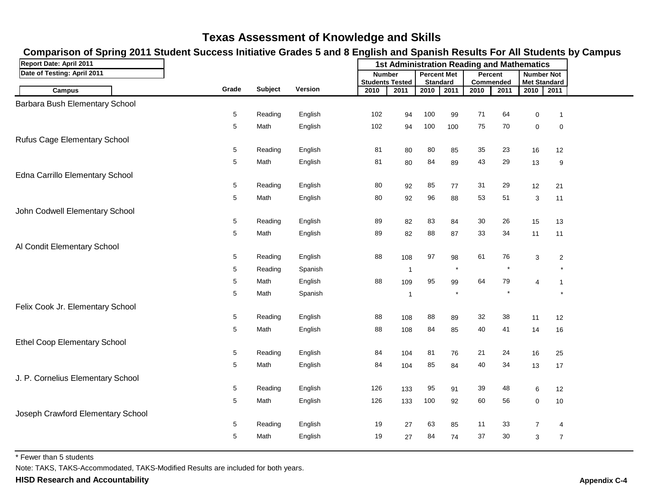# **Comparison of Spring 2011 Student Success Initiative Grades 5 and 8 English and Spanish Results For All Students by Campus**

| Report Date: April 2011             |             |         |         |                                |                         |                    |                         |      |                   | <b>1st Administration Reading and Mathematics</b> |                  |
|-------------------------------------|-------------|---------|---------|--------------------------------|-------------------------|--------------------|-------------------------|------|-------------------|---------------------------------------------------|------------------|
| Date of Testing: April 2011         |             |         |         | <b>Number</b>                  |                         | <b>Percent Met</b> |                         |      | Percent           | <b>Number Not</b>                                 |                  |
| <b>Campus</b>                       | Grade       | Subject | Version | <b>Students Tested</b><br>2010 | 2011                    | 2010               | <b>Standard</b><br>2011 | 2010 | Commended<br>2011 | <b>Met Standard</b><br>2010                       | 2011             |
|                                     |             |         |         |                                |                         |                    |                         |      |                   |                                                   |                  |
| Barbara Bush Elementary School      | $\,$ 5 $\,$ | Reading | English | 102                            | 94                      | 100                | 99                      | $71$ | 64                | $\mathbf 0$                                       | $\mathbf{1}$     |
|                                     | 5           |         | English | 102                            |                         |                    |                         | 75   | 70                |                                                   |                  |
|                                     |             | Math    |         |                                | 94                      | 100                | 100                     |      |                   | $\mathbf 0$                                       | $\pmb{0}$        |
| Rufus Cage Elementary School        | 5           |         | English |                                |                         | 80                 |                         | 35   | 23                |                                                   |                  |
|                                     |             | Reading |         | 81                             | 80                      |                    | 85                      |      |                   | 16                                                | 12               |
|                                     | 5           | Math    | English | 81                             | 80                      | 84                 | 89                      | 43   | 29                | 13                                                | $\boldsymbol{9}$ |
| Edna Carrillo Elementary School     |             |         |         |                                |                         |                    |                         |      |                   |                                                   |                  |
|                                     | 5           | Reading | English | 80                             | 92                      | 85                 | $77$                    | 31   | 29                | 12                                                | 21               |
|                                     | 5           | Math    | English | $80\,$                         | 92                      | 96                 | 88                      | 53   | 51                | 3                                                 | 11               |
| John Codwell Elementary School      |             |         |         |                                |                         |                    |                         |      |                   |                                                   |                  |
|                                     | $\,$ 5 $\,$ | Reading | English | 89                             | 82                      | 83                 | 84                      | 30   | 26                | 15                                                | 13               |
|                                     | 5           | Math    | English | 89                             | 82                      | 88                 | 87                      | 33   | 34                | 11                                                | 11               |
| Al Condit Elementary School         |             |         |         |                                |                         |                    |                         |      |                   |                                                   |                  |
|                                     | 5           | Reading | English | 88                             | 108                     | 97                 | 98                      | 61   | 76                | 3                                                 | $\boldsymbol{2}$ |
|                                     | 5           | Reading | Spanish |                                | $\overline{1}$          |                    | $\star$                 |      | $\star$           |                                                   | $\star$          |
|                                     | 5           | Math    | English | 88                             | 109                     | 95                 | 99                      | 64   | 79                | $\overline{4}$                                    | $\mathbf{1}$     |
|                                     | 5           | Math    | Spanish |                                | $\overline{\mathbf{1}}$ |                    |                         |      |                   |                                                   | $\star$          |
| Felix Cook Jr. Elementary School    |             |         |         |                                |                         |                    |                         |      |                   |                                                   |                  |
|                                     | 5           | Reading | English | 88                             | 108                     | 88                 | 89                      | 32   | 38                | 11                                                | 12               |
|                                     | 5           | Math    | English | 88                             | 108                     | 84                 | 85                      | 40   | 41                | 14                                                | 16               |
| <b>Ethel Coop Elementary School</b> |             |         |         |                                |                         |                    |                         |      |                   |                                                   |                  |
|                                     | 5           | Reading | English | 84                             | 104                     | 81                 | 76                      | 21   | 24                | 16                                                | 25               |
|                                     | 5           | Math    | English | 84                             | 104                     | 85                 | 84                      | 40   | 34                | 13                                                | 17               |
| J. P. Cornelius Elementary School   |             |         |         |                                |                         |                    |                         |      |                   |                                                   |                  |
|                                     | 5           | Reading | English | 126                            | 133                     | 95                 | 91                      | 39   | 48                | 6                                                 | 12               |
|                                     | 5           | Math    | English | 126                            | 133                     | 100                | 92                      | 60   | 56                | $\mathbf 0$                                       | 10               |
| Joseph Crawford Elementary School   |             |         |         |                                |                         |                    |                         |      |                   |                                                   |                  |
|                                     | 5           | Reading | English | 19                             | 27                      | 63                 | 85                      | 11   | 33                | $\overline{7}$                                    | $\overline{4}$   |
|                                     | 5           | Math    | English | 19                             | 27                      | 84                 | 74                      | 37   | 30                | 3                                                 | $\overline{7}$   |
|                                     |             |         |         |                                |                         |                    |                         |      |                   |                                                   |                  |

\* Fewer than 5 students

Note: TAKS, TAKS-Accommodated, TAKS-Modified Results are included for both years.

**HISD Research and Accountability Appendix C-4 Appendix C-4 Appendix C-4 Appendix C-4 Appendix C-4 Appendix C-4**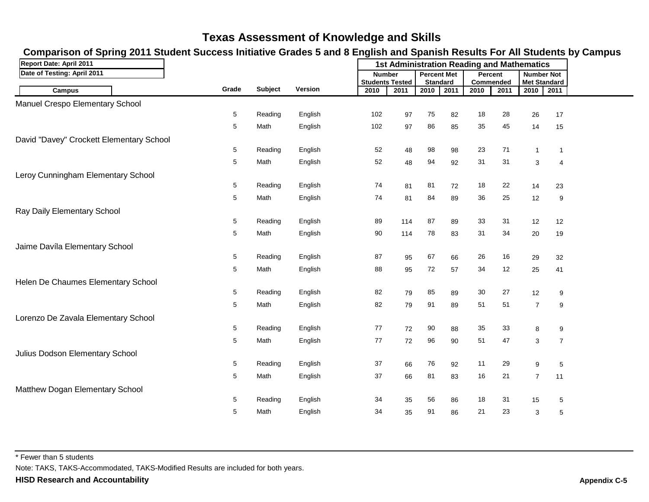| Report Date: April 2011                  |             |         |         |                                | <b>1st Administration Reading and Mathematics</b> |                         |      |                   |         |                             |                |  |
|------------------------------------------|-------------|---------|---------|--------------------------------|---------------------------------------------------|-------------------------|------|-------------------|---------|-----------------------------|----------------|--|
| Date of Testing: April 2011              |             |         |         | <b>Number</b>                  |                                                   | <b>Percent Met</b>      |      |                   | Percent | <b>Number Not</b>           |                |  |
| Campus                                   | Grade       | Subject | Version | <b>Students Tested</b><br>2010 | 2011                                              | <b>Standard</b><br>2010 | 2011 | Commended<br>2010 | 2011    | <b>Met Standard</b><br>2010 | 2011           |  |
| Manuel Crespo Elementary School          |             |         |         |                                |                                                   |                         |      |                   |         |                             |                |  |
|                                          | 5           | Reading | English | 102                            | 97                                                | 75                      | 82   | 18                | 28      | 26                          | 17             |  |
|                                          | $\,$ 5 $\,$ | Math    | English | 102                            | 97                                                | 86                      | 85   | 35                | 45      | 14                          | 15             |  |
| David "Davey" Crockett Elementary School |             |         |         |                                |                                                   |                         |      |                   |         |                             |                |  |
|                                          | 5           | Reading | English | 52                             | 48                                                | 98                      | 98   | 23                | 71      | $\mathbf{1}$                | $\overline{1}$ |  |
|                                          | 5           | Math    | English | 52                             | 48                                                | 94                      | 92   | 31                | 31      | 3                           | $\overline{4}$ |  |
| Leroy Cunningham Elementary School       |             |         |         |                                |                                                   |                         |      |                   |         |                             |                |  |
|                                          | 5           | Reading | English | 74                             | 81                                                | 81                      | 72   | 18                | 22      | 14                          | 23             |  |
|                                          | 5           | Math    | English | 74                             | 81                                                | 84                      | 89   | 36                | 25      | 12                          | 9              |  |
| Ray Daily Elementary School              |             |         |         |                                |                                                   |                         |      |                   |         |                             |                |  |
|                                          | 5           | Reading | English | 89                             | 114                                               | 87                      | 89   | 33                | 31      | 12                          | 12             |  |
|                                          | 5           | Math    | English | $90\,$                         | 114                                               | 78                      | 83   | 31                | 34      | 20                          | 19             |  |
| Jaime Davíla Elementary School           |             |         |         |                                |                                                   |                         |      |                   |         |                             |                |  |
|                                          | 5           | Reading | English | 87                             | 95                                                | 67                      | 66   | 26                | 16      | 29                          | 32             |  |
|                                          | 5           | Math    | English | 88                             | 95                                                | 72                      | 57   | 34                | 12      | 25                          | 41             |  |
| Helen De Chaumes Elementary School       |             |         |         |                                |                                                   |                         |      |                   |         |                             |                |  |
|                                          | 5           | Reading | English | 82                             | 79                                                | 85                      | 89   | 30                | 27      | 12                          | 9              |  |
|                                          | 5           | Math    | English | 82                             | 79                                                | 91                      | 89   | 51                | 51      | $\overline{7}$              | 9              |  |
| Lorenzo De Zavala Elementary School      |             |         |         |                                |                                                   |                         |      |                   |         |                             |                |  |
|                                          | 5           | Reading | English | $77\,$                         | 72                                                | 90                      | 88   | 35                | 33      | 8                           | 9              |  |
|                                          | 5           | Math    | English | $77\,$                         | 72                                                | 96                      | 90   | 51                | 47      | 3                           | $\overline{7}$ |  |
| Julius Dodson Elementary School          |             |         |         |                                |                                                   |                         |      |                   |         |                             |                |  |
|                                          | 5           | Reading | English | 37                             | 66                                                | 76                      | 92   | 11                | 29      | 9                           | $\overline{5}$ |  |
|                                          | 5           | Math    | English | 37                             | 66                                                | 81                      | 83   | 16                | 21      | $\overline{7}$              | 11             |  |
| Matthew Dogan Elementary School          |             |         |         |                                |                                                   |                         |      |                   |         |                             |                |  |
|                                          | 5           | Reading | English | 34                             | 35                                                | 56                      | 86   | 18                | 31      | 15                          | $\,$ 5 $\,$    |  |
|                                          | 5           | Math    | English | 34                             | 35                                                | 91                      | 86   | 21                | 23      | $\sqrt{3}$                  | $\mathbf 5$    |  |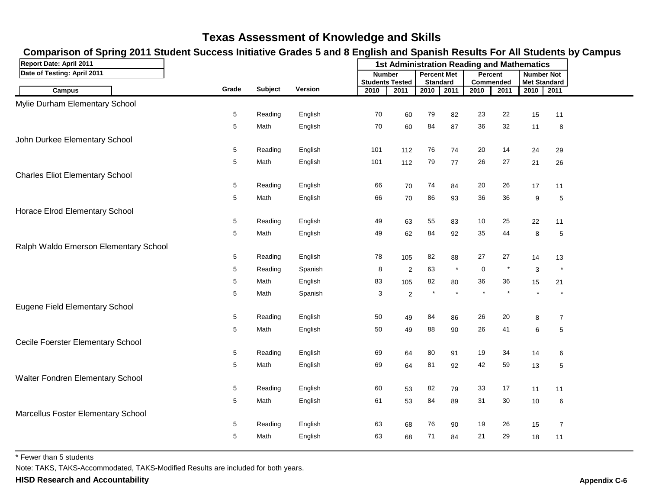# **Comparison of Spring 2011 Student Success Initiative Grades 5 and 8 English and Spanish Results For All Students by Campus**

| Report Date: April 2011                                                                                                                                                                                                                                                                                                                                                                                                                                                                                                                                                                                                                                                                                                                                                                                                                                                                                                                                                                                                                                                                                                                                                                                                                                                                                                                                                                                                                                                                                                                                                                                                                                                                                                                                                                                                                                                                                                                                                                                                                                                                                                                                                                                                                                                                                    |       |                |         |  |  |  |  |
|------------------------------------------------------------------------------------------------------------------------------------------------------------------------------------------------------------------------------------------------------------------------------------------------------------------------------------------------------------------------------------------------------------------------------------------------------------------------------------------------------------------------------------------------------------------------------------------------------------------------------------------------------------------------------------------------------------------------------------------------------------------------------------------------------------------------------------------------------------------------------------------------------------------------------------------------------------------------------------------------------------------------------------------------------------------------------------------------------------------------------------------------------------------------------------------------------------------------------------------------------------------------------------------------------------------------------------------------------------------------------------------------------------------------------------------------------------------------------------------------------------------------------------------------------------------------------------------------------------------------------------------------------------------------------------------------------------------------------------------------------------------------------------------------------------------------------------------------------------------------------------------------------------------------------------------------------------------------------------------------------------------------------------------------------------------------------------------------------------------------------------------------------------------------------------------------------------------------------------------------------------------------------------------------------------|-------|----------------|---------|--|--|--|--|
|                                                                                                                                                                                                                                                                                                                                                                                                                                                                                                                                                                                                                                                                                                                                                                                                                                                                                                                                                                                                                                                                                                                                                                                                                                                                                                                                                                                                                                                                                                                                                                                                                                                                                                                                                                                                                                                                                                                                                                                                                                                                                                                                                                                                                                                                                                            |       |                |         |  |  |  |  |
|                                                                                                                                                                                                                                                                                                                                                                                                                                                                                                                                                                                                                                                                                                                                                                                                                                                                                                                                                                                                                                                                                                                                                                                                                                                                                                                                                                                                                                                                                                                                                                                                                                                                                                                                                                                                                                                                                                                                                                                                                                                                                                                                                                                                                                                                                                            | Grade | <b>Subject</b> | Version |  |  |  |  |
|                                                                                                                                                                                                                                                                                                                                                                                                                                                                                                                                                                                                                                                                                                                                                                                                                                                                                                                                                                                                                                                                                                                                                                                                                                                                                                                                                                                                                                                                                                                                                                                                                                                                                                                                                                                                                                                                                                                                                                                                                                                                                                                                                                                                                                                                                                            |       |                |         |  |  |  |  |
| <b>1st Administration Reading and Mathematics</b><br>Date of Testing: April 2011<br><b>Percent Met</b><br><b>Number Not</b><br>Number<br>Percent<br><b>Met Standard</b><br><b>Students Tested</b><br><b>Standard</b><br>Commended<br>2011<br><b>Campus</b><br>2011<br>2010<br>2011<br>2010<br>2010<br>2011<br>2010<br>Mylie Durham Elementary School<br>5<br>Reading<br>English<br>70<br>79<br>23<br>22<br>60<br>82<br>15<br>11<br>70<br>36<br>32<br>5<br>English<br>84<br>Math<br>87<br>60<br>11<br>8<br>John Durkee Elementary School<br>76<br>5<br>Reading<br>English<br>101<br>74<br>20<br>14<br>112<br>24<br>29<br>5<br>English<br>101<br>79<br>26<br>27<br>Math<br>112<br>77<br>21<br>26<br><b>Charles Eliot Elementary School</b><br>English<br>66<br>74<br>20<br>26<br>5<br>Reading<br>$70\,$<br>84<br>17<br>11<br>36<br>5<br>English<br>66<br>86<br>36<br>Math<br>9<br>5<br>70<br>93<br>Horace Elrod Elementary School<br>5<br>English<br>49<br>55<br>10<br>25<br>Reading<br>63<br>83<br>22<br>11<br>5<br>English<br>49<br>84<br>35<br>44<br>Math<br>92<br>8<br>5<br>62<br>Ralph Waldo Emerson Elementary School<br>English<br>78<br>27<br>27<br>5<br>Reading<br>82<br>105<br>88<br>14<br>13<br>$\boldsymbol{0}$<br>Spanish<br>8<br>63<br>$\star$<br>5<br>Reading<br>$\star$<br>$\overline{c}$<br>3<br>$\star$<br>English<br>83<br>36<br>36<br>5<br>Math<br>82<br>80<br>105<br>15<br>21<br>$\star$<br>$\star$<br>5<br>Spanish<br>3<br>$\mathbf 2$<br>$\star$<br>$\star$<br>Math<br>Eugene Field Elementary School<br>5<br>English<br>50<br>84<br>26<br>$20\,$<br>Reading<br>$\overline{7}$<br>49<br>86<br>8<br>English<br>50<br>88<br>$26\,$<br>41<br>5<br>Math<br>90<br>6<br>$\sqrt{5}$<br>49<br>Cecile Foerster Elementary School<br>English<br>69<br>19<br>34<br>5<br>Reading<br>80<br>64<br>91<br>14<br>$\,6$<br>42<br>5<br>English<br>69<br>81<br>59<br>$\mathbf 5$<br>Math<br>64<br>92<br>13<br>Walter Fondren Elementary School<br>5<br>Reading<br>English<br>60<br>82<br>33<br>17<br>79<br>11<br>11<br>53<br>5<br>English<br>61<br>84<br>31<br>30<br>Math<br>89<br>10<br>$\,6$<br>53<br>Marcellus Foster Elementary School<br>5<br>English<br>63<br>76<br>19<br>26<br>$\overline{7}$<br>Reading<br>68<br>90<br>15<br>5<br>English<br>63<br>71<br>21<br>29<br>Math<br>84<br>68<br>18<br>11 |       |                |         |  |  |  |  |
|                                                                                                                                                                                                                                                                                                                                                                                                                                                                                                                                                                                                                                                                                                                                                                                                                                                                                                                                                                                                                                                                                                                                                                                                                                                                                                                                                                                                                                                                                                                                                                                                                                                                                                                                                                                                                                                                                                                                                                                                                                                                                                                                                                                                                                                                                                            |       |                |         |  |  |  |  |
|                                                                                                                                                                                                                                                                                                                                                                                                                                                                                                                                                                                                                                                                                                                                                                                                                                                                                                                                                                                                                                                                                                                                                                                                                                                                                                                                                                                                                                                                                                                                                                                                                                                                                                                                                                                                                                                                                                                                                                                                                                                                                                                                                                                                                                                                                                            |       |                |         |  |  |  |  |
|                                                                                                                                                                                                                                                                                                                                                                                                                                                                                                                                                                                                                                                                                                                                                                                                                                                                                                                                                                                                                                                                                                                                                                                                                                                                                                                                                                                                                                                                                                                                                                                                                                                                                                                                                                                                                                                                                                                                                                                                                                                                                                                                                                                                                                                                                                            |       |                |         |  |  |  |  |
|                                                                                                                                                                                                                                                                                                                                                                                                                                                                                                                                                                                                                                                                                                                                                                                                                                                                                                                                                                                                                                                                                                                                                                                                                                                                                                                                                                                                                                                                                                                                                                                                                                                                                                                                                                                                                                                                                                                                                                                                                                                                                                                                                                                                                                                                                                            |       |                |         |  |  |  |  |
|                                                                                                                                                                                                                                                                                                                                                                                                                                                                                                                                                                                                                                                                                                                                                                                                                                                                                                                                                                                                                                                                                                                                                                                                                                                                                                                                                                                                                                                                                                                                                                                                                                                                                                                                                                                                                                                                                                                                                                                                                                                                                                                                                                                                                                                                                                            |       |                |         |  |  |  |  |
|                                                                                                                                                                                                                                                                                                                                                                                                                                                                                                                                                                                                                                                                                                                                                                                                                                                                                                                                                                                                                                                                                                                                                                                                                                                                                                                                                                                                                                                                                                                                                                                                                                                                                                                                                                                                                                                                                                                                                                                                                                                                                                                                                                                                                                                                                                            |       |                |         |  |  |  |  |
|                                                                                                                                                                                                                                                                                                                                                                                                                                                                                                                                                                                                                                                                                                                                                                                                                                                                                                                                                                                                                                                                                                                                                                                                                                                                                                                                                                                                                                                                                                                                                                                                                                                                                                                                                                                                                                                                                                                                                                                                                                                                                                                                                                                                                                                                                                            |       |                |         |  |  |  |  |
|                                                                                                                                                                                                                                                                                                                                                                                                                                                                                                                                                                                                                                                                                                                                                                                                                                                                                                                                                                                                                                                                                                                                                                                                                                                                                                                                                                                                                                                                                                                                                                                                                                                                                                                                                                                                                                                                                                                                                                                                                                                                                                                                                                                                                                                                                                            |       |                |         |  |  |  |  |
|                                                                                                                                                                                                                                                                                                                                                                                                                                                                                                                                                                                                                                                                                                                                                                                                                                                                                                                                                                                                                                                                                                                                                                                                                                                                                                                                                                                                                                                                                                                                                                                                                                                                                                                                                                                                                                                                                                                                                                                                                                                                                                                                                                                                                                                                                                            |       |                |         |  |  |  |  |
|                                                                                                                                                                                                                                                                                                                                                                                                                                                                                                                                                                                                                                                                                                                                                                                                                                                                                                                                                                                                                                                                                                                                                                                                                                                                                                                                                                                                                                                                                                                                                                                                                                                                                                                                                                                                                                                                                                                                                                                                                                                                                                                                                                                                                                                                                                            |       |                |         |  |  |  |  |
|                                                                                                                                                                                                                                                                                                                                                                                                                                                                                                                                                                                                                                                                                                                                                                                                                                                                                                                                                                                                                                                                                                                                                                                                                                                                                                                                                                                                                                                                                                                                                                                                                                                                                                                                                                                                                                                                                                                                                                                                                                                                                                                                                                                                                                                                                                            |       |                |         |  |  |  |  |
|                                                                                                                                                                                                                                                                                                                                                                                                                                                                                                                                                                                                                                                                                                                                                                                                                                                                                                                                                                                                                                                                                                                                                                                                                                                                                                                                                                                                                                                                                                                                                                                                                                                                                                                                                                                                                                                                                                                                                                                                                                                                                                                                                                                                                                                                                                            |       |                |         |  |  |  |  |
|                                                                                                                                                                                                                                                                                                                                                                                                                                                                                                                                                                                                                                                                                                                                                                                                                                                                                                                                                                                                                                                                                                                                                                                                                                                                                                                                                                                                                                                                                                                                                                                                                                                                                                                                                                                                                                                                                                                                                                                                                                                                                                                                                                                                                                                                                                            |       |                |         |  |  |  |  |
|                                                                                                                                                                                                                                                                                                                                                                                                                                                                                                                                                                                                                                                                                                                                                                                                                                                                                                                                                                                                                                                                                                                                                                                                                                                                                                                                                                                                                                                                                                                                                                                                                                                                                                                                                                                                                                                                                                                                                                                                                                                                                                                                                                                                                                                                                                            |       |                |         |  |  |  |  |
|                                                                                                                                                                                                                                                                                                                                                                                                                                                                                                                                                                                                                                                                                                                                                                                                                                                                                                                                                                                                                                                                                                                                                                                                                                                                                                                                                                                                                                                                                                                                                                                                                                                                                                                                                                                                                                                                                                                                                                                                                                                                                                                                                                                                                                                                                                            |       |                |         |  |  |  |  |
|                                                                                                                                                                                                                                                                                                                                                                                                                                                                                                                                                                                                                                                                                                                                                                                                                                                                                                                                                                                                                                                                                                                                                                                                                                                                                                                                                                                                                                                                                                                                                                                                                                                                                                                                                                                                                                                                                                                                                                                                                                                                                                                                                                                                                                                                                                            |       |                |         |  |  |  |  |
|                                                                                                                                                                                                                                                                                                                                                                                                                                                                                                                                                                                                                                                                                                                                                                                                                                                                                                                                                                                                                                                                                                                                                                                                                                                                                                                                                                                                                                                                                                                                                                                                                                                                                                                                                                                                                                                                                                                                                                                                                                                                                                                                                                                                                                                                                                            |       |                |         |  |  |  |  |
|                                                                                                                                                                                                                                                                                                                                                                                                                                                                                                                                                                                                                                                                                                                                                                                                                                                                                                                                                                                                                                                                                                                                                                                                                                                                                                                                                                                                                                                                                                                                                                                                                                                                                                                                                                                                                                                                                                                                                                                                                                                                                                                                                                                                                                                                                                            |       |                |         |  |  |  |  |
|                                                                                                                                                                                                                                                                                                                                                                                                                                                                                                                                                                                                                                                                                                                                                                                                                                                                                                                                                                                                                                                                                                                                                                                                                                                                                                                                                                                                                                                                                                                                                                                                                                                                                                                                                                                                                                                                                                                                                                                                                                                                                                                                                                                                                                                                                                            |       |                |         |  |  |  |  |
|                                                                                                                                                                                                                                                                                                                                                                                                                                                                                                                                                                                                                                                                                                                                                                                                                                                                                                                                                                                                                                                                                                                                                                                                                                                                                                                                                                                                                                                                                                                                                                                                                                                                                                                                                                                                                                                                                                                                                                                                                                                                                                                                                                                                                                                                                                            |       |                |         |  |  |  |  |
|                                                                                                                                                                                                                                                                                                                                                                                                                                                                                                                                                                                                                                                                                                                                                                                                                                                                                                                                                                                                                                                                                                                                                                                                                                                                                                                                                                                                                                                                                                                                                                                                                                                                                                                                                                                                                                                                                                                                                                                                                                                                                                                                                                                                                                                                                                            |       |                |         |  |  |  |  |
|                                                                                                                                                                                                                                                                                                                                                                                                                                                                                                                                                                                                                                                                                                                                                                                                                                                                                                                                                                                                                                                                                                                                                                                                                                                                                                                                                                                                                                                                                                                                                                                                                                                                                                                                                                                                                                                                                                                                                                                                                                                                                                                                                                                                                                                                                                            |       |                |         |  |  |  |  |
|                                                                                                                                                                                                                                                                                                                                                                                                                                                                                                                                                                                                                                                                                                                                                                                                                                                                                                                                                                                                                                                                                                                                                                                                                                                                                                                                                                                                                                                                                                                                                                                                                                                                                                                                                                                                                                                                                                                                                                                                                                                                                                                                                                                                                                                                                                            |       |                |         |  |  |  |  |
|                                                                                                                                                                                                                                                                                                                                                                                                                                                                                                                                                                                                                                                                                                                                                                                                                                                                                                                                                                                                                                                                                                                                                                                                                                                                                                                                                                                                                                                                                                                                                                                                                                                                                                                                                                                                                                                                                                                                                                                                                                                                                                                                                                                                                                                                                                            |       |                |         |  |  |  |  |
|                                                                                                                                                                                                                                                                                                                                                                                                                                                                                                                                                                                                                                                                                                                                                                                                                                                                                                                                                                                                                                                                                                                                                                                                                                                                                                                                                                                                                                                                                                                                                                                                                                                                                                                                                                                                                                                                                                                                                                                                                                                                                                                                                                                                                                                                                                            |       |                |         |  |  |  |  |
|                                                                                                                                                                                                                                                                                                                                                                                                                                                                                                                                                                                                                                                                                                                                                                                                                                                                                                                                                                                                                                                                                                                                                                                                                                                                                                                                                                                                                                                                                                                                                                                                                                                                                                                                                                                                                                                                                                                                                                                                                                                                                                                                                                                                                                                                                                            |       |                |         |  |  |  |  |
|                                                                                                                                                                                                                                                                                                                                                                                                                                                                                                                                                                                                                                                                                                                                                                                                                                                                                                                                                                                                                                                                                                                                                                                                                                                                                                                                                                                                                                                                                                                                                                                                                                                                                                                                                                                                                                                                                                                                                                                                                                                                                                                                                                                                                                                                                                            |       |                |         |  |  |  |  |
|                                                                                                                                                                                                                                                                                                                                                                                                                                                                                                                                                                                                                                                                                                                                                                                                                                                                                                                                                                                                                                                                                                                                                                                                                                                                                                                                                                                                                                                                                                                                                                                                                                                                                                                                                                                                                                                                                                                                                                                                                                                                                                                                                                                                                                                                                                            |       |                |         |  |  |  |  |

\* Fewer than 5 students

Note: TAKS, TAKS-Accommodated, TAKS-Modified Results are included for both years.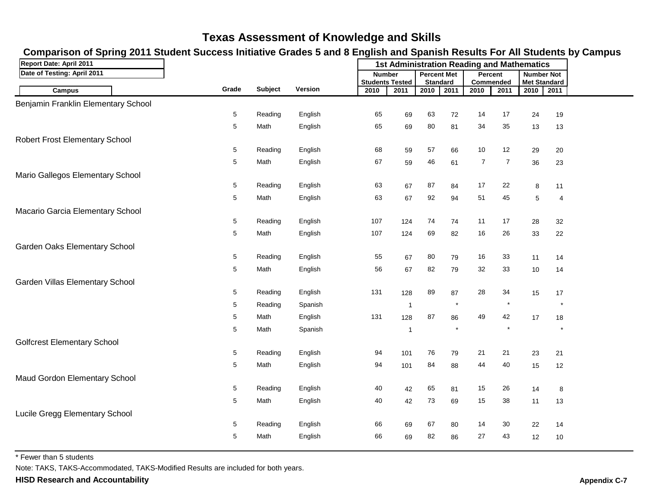# **Comparison of Spring 2011 Student Success Initiative Grades 5 and 8 English and Spanish Results For All Students by Campus**

| Report Date: April 2011             |            |         |         |                                |      |                    |                         |                |                   | <b>1st Administration Reading and Mathematics</b> |                |
|-------------------------------------|------------|---------|---------|--------------------------------|------|--------------------|-------------------------|----------------|-------------------|---------------------------------------------------|----------------|
| Date of Testing: April 2011         |            |         |         | <b>Number</b>                  |      | <b>Percent Met</b> |                         |                | Percent           | <b>Number Not</b>                                 |                |
| Campus                              | Grade      | Subject | Version | <b>Students Tested</b><br>2010 | 2011 | 2010               | <b>Standard</b><br>2011 | 2010           | Commended<br>2011 | <b>Met Standard</b><br>2010                       | 2011           |
| Benjamin Franklin Elementary School |            |         |         |                                |      |                    |                         |                |                   |                                                   |                |
|                                     | $\sqrt{5}$ | Reading | English | 65                             | 69   | 63                 | 72                      | 14             | 17                | 24                                                | 19             |
|                                     | 5          | Math    | English | 65                             | 69   | 80                 | 81                      | 34             | 35                | 13                                                | 13             |
| Robert Frost Elementary School      |            |         |         |                                |      |                    |                         |                |                   |                                                   |                |
|                                     | 5          | Reading | English | 68                             | 59   | 57                 | 66                      | 10             | 12                | 29                                                | 20             |
|                                     | 5          | Math    | English | 67                             | 59   | 46                 | 61                      | $\overline{7}$ | $\overline{7}$    | 36                                                | 23             |
| Mario Gallegos Elementary School    |            |         |         |                                |      |                    |                         |                |                   |                                                   |                |
|                                     | 5          | Reading | English | 63                             | 67   | 87                 | 84                      | 17             | 22                | 8                                                 | 11             |
|                                     | 5          | Math    | English | 63                             | 67   | 92                 | 94                      | 51             | 45                | 5                                                 | $\overline{4}$ |
| Macario Garcia Elementary School    |            |         |         |                                |      |                    |                         |                |                   |                                                   |                |
|                                     | 5          | Reading | English | 107                            | 124  | 74                 | 74                      | 11             | 17                | 28                                                | 32             |
|                                     | 5          | Math    | English | 107                            | 124  | 69                 | 82                      | 16             | 26                | 33                                                | 22             |
| Garden Oaks Elementary School       |            |         |         |                                |      |                    |                         |                |                   |                                                   |                |
|                                     | 5          | Reading | English | 55                             | 67   | 80                 | 79                      | 16             | 33                | 11                                                | 14             |
|                                     | 5          | Math    | English | 56                             | 67   | 82                 | 79                      | 32             | 33                | 10                                                | 14             |
| Garden Villas Elementary School     |            |         |         |                                |      |                    |                         |                |                   |                                                   |                |
|                                     | 5          | Reading | English | 131                            | 128  | 89                 | 87                      | 28             | 34                | 15                                                | 17             |
|                                     | 5          | Reading | Spanish |                                | -1   |                    |                         |                | $\star$           |                                                   | $\star$        |
|                                     | 5          | Math    | English | 131                            | 128  | 87                 | 86                      | 49             | 42                | 17                                                | 18             |
|                                     | 5          | Math    | Spanish |                                | -1   |                    | $\star$                 |                | $\star$           |                                                   | $\star$        |
| <b>Golfcrest Elementary School</b>  |            |         |         |                                |      |                    |                         |                |                   |                                                   |                |
|                                     | 5          | Reading | English | 94                             | 101  | 76                 | 79                      | 21             | 21                | 23                                                | 21             |
|                                     | 5          | Math    | English | 94                             | 101  | 84                 | 88                      | 44             | 40                | 15                                                | 12             |
| Maud Gordon Elementary School       |            |         |         |                                |      |                    |                         |                |                   |                                                   |                |
|                                     | 5          | Reading | English | 40                             | 42   | 65                 | 81                      | 15             | 26                | 14                                                | 8              |
|                                     | 5          | Math    | English | 40                             | 42   | 73                 | 69                      | 15             | 38                | 11                                                | 13             |
| Lucile Gregg Elementary School      |            |         |         |                                |      |                    |                         |                |                   |                                                   |                |
|                                     | 5          | Reading | English | 66                             | 69   | 67                 | 80                      | 14             | $30\,$            | 22                                                | 14             |
|                                     | 5          | Math    | English | 66                             | 69   | 82                 | 86                      | 27             | 43                | 12                                                | 10             |
|                                     |            |         |         |                                |      |                    |                         |                |                   |                                                   |                |

\* Fewer than 5 students

Note: TAKS, TAKS-Accommodated, TAKS-Modified Results are included for both years.

**HISD Research and Accountability Appendix C-7 Appendix C-7 Appendix C-7**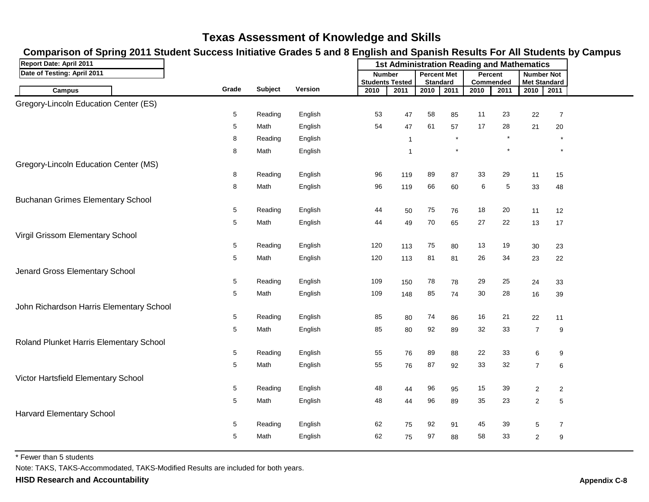# **Comparison of Spring 2011 Student Success Initiative Grades 5 and 8 English and Spanish Results For All Students by Campus**

| Report Date: April 2011                  |            |         |         |                                |              |                    |                         |        |                   | <b>1st Administration Reading and Mathematics</b> |                  |
|------------------------------------------|------------|---------|---------|--------------------------------|--------------|--------------------|-------------------------|--------|-------------------|---------------------------------------------------|------------------|
| Date of Testing: April 2011              |            |         |         | <b>Number</b>                  |              | <b>Percent Met</b> |                         |        | Percent           | <b>Number Not</b>                                 |                  |
| Campus                                   | Grade      | Subject | Version | <b>Students Tested</b><br>2010 | 2011         | 2010               | <b>Standard</b><br>2011 | 2010   | Commended<br>2011 | <b>Met Standard</b><br>2010                       | 2011             |
| Gregory-Lincoln Education Center (ES)    |            |         |         |                                |              |                    |                         |        |                   |                                                   |                  |
|                                          | 5          | Reading | English | 53                             | 47           | 58                 | 85                      | 11     | 23                | 22                                                | $\overline{7}$   |
|                                          | 5          | Math    | English | 54                             | 47           | 61                 | 57                      | 17     | 28                | 21                                                | 20               |
|                                          | 8          | Reading | English |                                | $\mathbf{1}$ |                    | $\star$                 |        | $\star$           |                                                   | $\star$          |
|                                          | 8          | Math    | English |                                | $\mathbf{1}$ |                    | $\star$                 |        |                   |                                                   | $\star$          |
| Gregory-Lincoln Education Center (MS)    |            |         |         |                                |              |                    |                         |        |                   |                                                   |                  |
|                                          | 8          | Reading | English | 96                             | 119          | 89                 | 87                      | 33     | 29                | 11                                                | 15               |
|                                          | 8          | Math    | English | 96                             | 119          | 66                 | 60                      | 6      | $\mathbf 5$       | 33                                                | 48               |
| <b>Buchanan Grimes Elementary School</b> |            |         |         |                                |              |                    |                         |        |                   |                                                   |                  |
|                                          | 5          | Reading | English | 44                             | 50           | 75                 | 76                      | 18     | $20\,$            | 11                                                | 12               |
|                                          | 5          | Math    | English | 44                             | 49           | 70                 | 65                      | 27     | 22                | 13                                                | $17$             |
| Virgil Grissom Elementary School         |            |         |         |                                |              |                    |                         |        |                   |                                                   |                  |
|                                          | 5          | Reading | English | 120                            | 113          | 75                 | 80                      | 13     | 19                | 30                                                | 23               |
|                                          | 5          | Math    | English | 120                            | 113          | 81                 | 81                      | 26     | 34                | 23                                                | 22               |
| Jenard Gross Elementary School           |            |         |         |                                |              |                    |                         |        |                   |                                                   |                  |
|                                          | $\sqrt{5}$ | Reading | English | 109                            | 150          | 78                 | 78                      | 29     | 25                | 24                                                | 33               |
|                                          | 5          | Math    | English | 109                            | 148          | 85                 | 74                      | $30\,$ | 28                | 16                                                | 39               |
| John Richardson Harris Elementary School |            |         |         |                                |              |                    |                         |        |                   |                                                   |                  |
|                                          | 5          | Reading | English | 85                             | 80           | 74                 | 86                      | 16     | 21                | 22                                                | 11               |
|                                          | 5          | Math    | English | 85                             | 80           | 92                 | 89                      | 32     | 33                | $\overline{7}$                                    | 9                |
| Roland Plunket Harris Elementary School  | 5          | Reading | English | 55                             | 76           | 89                 | 88                      | 22     | 33                | 6                                                 | 9                |
|                                          | 5          | Math    | English | 55                             | 76           | 87                 | 92                      | 33     | 32                | $\overline{7}$                                    | 6                |
| Victor Hartsfield Elementary School      |            |         |         |                                |              |                    |                         |        |                   |                                                   |                  |
|                                          | 5          | Reading | English | 48                             | 44           | 96                 | 95                      | 15     | 39                | $\overline{2}$                                    | $\overline{c}$   |
|                                          | 5          | Math    | English | 48                             | 44           | 96                 | 89                      | 35     | 23                | $\overline{\mathbf{c}}$                           | $\,$ 5 $\,$      |
| Harvard Elementary School                |            |         |         |                                |              |                    |                         |        |                   |                                                   |                  |
|                                          | 5          | Reading | English | 62                             | 75           | 92                 | 91                      | 45     | 39                | 5                                                 | $\overline{7}$   |
|                                          | 5          | Math    | English | 62                             | 75           | 97                 | 88                      | 58     | 33                | $\overline{2}$                                    | $\boldsymbol{9}$ |
|                                          |            |         |         |                                |              |                    |                         |        |                   |                                                   |                  |

\* Fewer than 5 students

Note: TAKS, TAKS-Accommodated, TAKS-Modified Results are included for both years.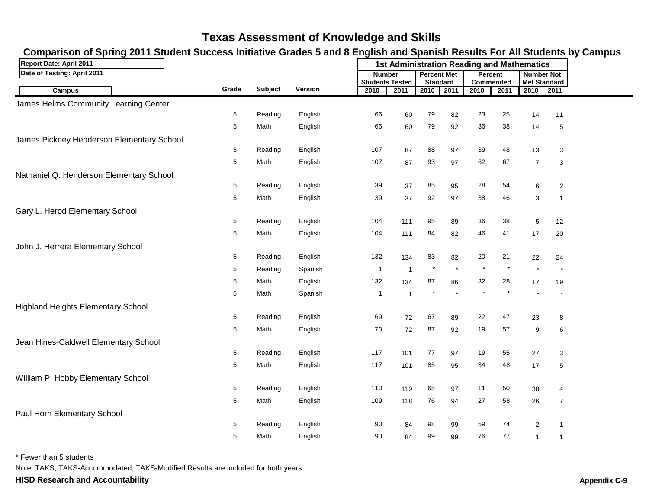#### **Comparison of Spring 2011 Student Success Initiative Grades 5 and 8 English and Spanish Results For All Students by Campus**

| Report Date: April 2011                   |                 |         |         |                                | <b>1st Administration Reading and Mathematics</b> |                         |         |         |                   |                      |                  |  |
|-------------------------------------------|-----------------|---------|---------|--------------------------------|---------------------------------------------------|-------------------------|---------|---------|-------------------|----------------------|------------------|--|
| Date of Testing: April 2011               |                 |         |         | <b>Number</b>                  |                                                   | <b>Percent Met</b>      |         |         | Percent           | <b>Number Not</b>    |                  |  |
| <b>Campus</b>                             | Grade           | Subject | Version | <b>Students Tested</b><br>2010 | 2011                                              | <b>Standard</b><br>2010 | 2011    | 2010    | Commended<br>2011 | Met Standard<br>2010 | 2011             |  |
|                                           |                 |         |         |                                |                                                   |                         |         |         |                   |                      |                  |  |
| James Helms Community Learning Center     |                 |         |         |                                |                                                   |                         |         |         |                   |                      |                  |  |
|                                           | $5\phantom{.0}$ | Reading | English | 66                             | 60                                                | 79                      | 82      | 23      | 25                | 14                   | 11               |  |
|                                           | 5               | Math    | English | 66                             | 60                                                | 79                      | 92      | 36      | 38                | 14                   | $\sqrt{5}$       |  |
| James Pickney Henderson Elementary School |                 |         |         |                                |                                                   |                         |         |         |                   |                      |                  |  |
|                                           | 5               | Reading | English | 107                            | 87                                                | 88                      | 97      | 39      | 48                | 13                   | 3                |  |
|                                           | 5               | Math    | English | 107                            | 87                                                | 93                      | 97      | 62      | 67                | $\overline{7}$       | $\mathbf{3}$     |  |
| Nathaniel Q. Henderson Elementary School  |                 |         |         |                                |                                                   |                         |         |         |                   |                      |                  |  |
|                                           | 5               | Reading | English | 39                             | 37                                                | 85                      | 95      | 28      | 54                | 6                    | $\overline{c}$   |  |
|                                           | 5               | Math    | English | 39                             | 37                                                | 92                      | 97      | 38      | 46                | 3                    | $\overline{1}$   |  |
| Gary L. Herod Elementary School           |                 |         |         |                                |                                                   |                         |         |         |                   |                      |                  |  |
|                                           | 5               | Reading | English | 104                            | 111                                               | 95                      | 89      | 36      | 38                | 5                    | 12               |  |
|                                           | 5               | Math    | English | 104                            | 111                                               | 84                      | 82      | 46      | 41                | 17                   | 20               |  |
| John J. Herrera Elementary School         |                 |         |         |                                |                                                   |                         |         |         |                   |                      |                  |  |
|                                           | 5               | Reading | English | 132                            | 134                                               | 83                      | 82      | 20      | 21                | 22                   | 24               |  |
|                                           | 5               | Reading | Spanish | $\overline{1}$                 | $\overline{1}$                                    | $\star$                 | $\star$ | $\star$ |                   | $\star$              | $\star$          |  |
|                                           | 5               | Math    | English | 132                            | 134                                               | 87                      | 86      | 32      | 28                | 17                   | 19               |  |
|                                           | 5               | Math    | Spanish | $\mathbf{1}$                   | $\overline{1}$                                    | $\star$                 |         |         |                   | $\star$              | $\star$          |  |
| <b>Highland Heights Elementary School</b> |                 |         |         |                                |                                                   |                         |         |         |                   |                      |                  |  |
|                                           | 5               | Reading | English | 69                             | 72                                                | 67                      | 89      | 22      | 47                | 23                   | 8                |  |
|                                           | 5               | Math    | English | $70\,$                         |                                                   | 87                      | 92      | 19      | 57                |                      |                  |  |
|                                           |                 |         |         |                                | 72                                                |                         |         |         |                   | 9                    | 6                |  |
| Jean Hines-Caldwell Elementary School     |                 |         | English | 117                            |                                                   | 77                      |         | 19      | 55                |                      |                  |  |
|                                           | $\,$ 5 $\,$     | Reading |         |                                | 101                                               |                         | 97      |         |                   | 27                   | 3                |  |
|                                           | 5               | Math    | English | 117                            | 101                                               | 85                      | 95      | 34      | 48                | 17                   | $\sqrt{5}$       |  |
| William P. Hobby Elementary School        |                 |         |         |                                |                                                   |                         |         |         |                   |                      |                  |  |
|                                           | 5               | Reading | English | 110                            | 119                                               | 65                      | 97      | 11      | 50                | 38                   | 4                |  |
|                                           | 5               | Math    | English | 109                            | 118                                               | 76                      | 94      | 27      | 58                | 26                   | $\boldsymbol{7}$ |  |
| Paul Horn Elementary School               |                 |         |         |                                |                                                   |                         |         |         |                   |                      |                  |  |
|                                           | $\,$ 5 $\,$     | Reading | English | 90                             | 84                                                | 98                      | 99      | 59      | 74                | $\overline{2}$       | $\overline{1}$   |  |
|                                           | 5               | Math    | English | 90                             | 84                                                | 99                      | 99      | 76      | 77                | 1                    | $\overline{1}$   |  |
|                                           |                 |         |         |                                |                                                   |                         |         |         |                   |                      |                  |  |

\* Fewer than 5 students

Note: TAKS, TAKS-Accommodated, TAKS-Modified Results are included for both years.

**HISD Research and Accountability Appendix C-9 Appendix C-9**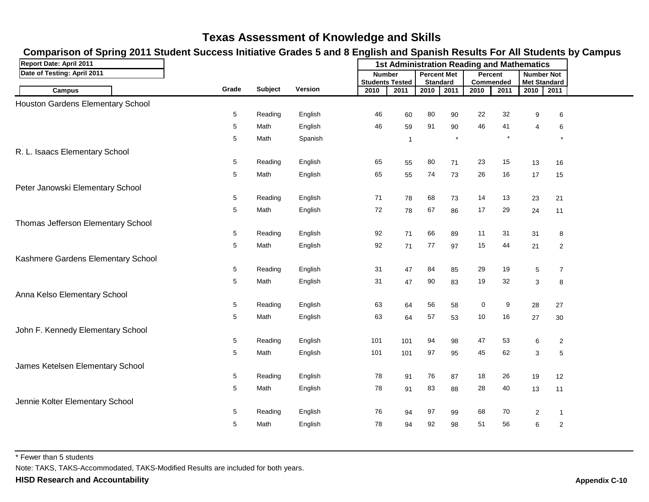# **Comparison of Spring 2011 Student Success Initiative Grades 5 and 8 English and Spanish Results For All Students by Campus**

| Report Date: April 2011                  |             |                |         |                                |                |      |                         |             |                   | <b>1st Administration Reading and Mathematics</b> |                |  |
|------------------------------------------|-------------|----------------|---------|--------------------------------|----------------|------|-------------------------|-------------|-------------------|---------------------------------------------------|----------------|--|
| Date of Testing: April 2011              |             |                |         | <b>Number</b>                  |                |      | <b>Percent Met</b>      | Percent     |                   | <b>Number Not</b>                                 |                |  |
| <b>Campus</b>                            | Grade       | <b>Subject</b> | Version | <b>Students Tested</b><br>2010 | 2011           | 2010 | <b>Standard</b><br>2011 | 2010        | Commended<br>2011 | <b>Met Standard</b><br>2010                       | 2011           |  |
|                                          |             |                |         |                                |                |      |                         |             |                   |                                                   |                |  |
| <b>Houston Gardens Elementary School</b> |             |                |         |                                |                |      |                         |             |                   |                                                   |                |  |
|                                          | $\,$ 5 $\,$ | Reading        | English | 46                             | 60             | 80   | 90                      | 22          | 32                | 9                                                 | 6              |  |
|                                          | 5           | Math           | English | 46                             | 59             | 91   | 90                      | 46          | 41                | 4                                                 | 6              |  |
|                                          | 5           | Math           | Spanish |                                | $\overline{1}$ |      | $\star$                 |             | $\star$           |                                                   | $\star$        |  |
| R. L. Isaacs Elementary School           |             |                |         |                                |                |      |                         |             |                   |                                                   |                |  |
|                                          | 5           | Reading        | English | 65                             | 55             | 80   | 71                      | 23          | 15                | 13                                                | 16             |  |
|                                          | 5           | Math           | English | 65                             | 55             | 74   | 73                      | 26          | 16                | 17                                                | 15             |  |
| Peter Janowski Elementary School         |             |                |         |                                |                |      |                         |             |                   |                                                   |                |  |
|                                          | 5           | Reading        | English | 71                             | 78             | 68   | 73                      | 14          | 13                | 23                                                | 21             |  |
|                                          | 5           | Math           | English | 72                             | 78             | 67   | 86                      | 17          | 29                | 24                                                | 11             |  |
| Thomas Jefferson Elementary School       |             |                |         |                                |                |      |                         |             |                   |                                                   |                |  |
|                                          | 5           | Reading        | English | 92                             | 71             | 66   | 89                      | 11          | 31                | 31                                                | 8              |  |
|                                          | 5           | Math           | English | 92                             | 71             | 77   | 97                      | 15          | 44                | 21                                                | $\sqrt{2}$     |  |
| Kashmere Gardens Elementary School       |             |                |         |                                |                |      |                         |             |                   |                                                   |                |  |
|                                          | 5           | Reading        | English | 31                             | 47             | 84   | 85                      | 29          | 19                | 5                                                 | $\overline{7}$ |  |
|                                          | 5           | Math           | English | 31                             | 47             | 90   | 83                      | 19          | 32                | 3                                                 | 8              |  |
|                                          |             |                |         |                                |                |      |                         |             |                   |                                                   |                |  |
| Anna Kelso Elementary School             | 5           | Reading        | English | 63                             | 64             | 56   | 58                      | $\mathbf 0$ | $9\,$             | 28                                                |                |  |
|                                          |             |                |         |                                |                |      |                         |             |                   |                                                   | 27             |  |
|                                          | 5           | Math           | English | 63                             | 64             | 57   | 53                      | $10$        | 16                | 27                                                | 30             |  |
| John F. Kennedy Elementary School        |             |                |         |                                |                |      |                         |             |                   |                                                   |                |  |
|                                          | 5           | Reading        | English | 101                            | 101            | 94   | 98                      | 47          | 53                | 6                                                 | $\overline{c}$ |  |
|                                          | 5           | Math           | English | 101                            | 101            | 97   | 95                      | 45          | 62                | 3                                                 | 5              |  |
| James Ketelsen Elementary School         |             |                |         |                                |                |      |                         |             |                   |                                                   |                |  |
|                                          | 5           | Reading        | English | 78                             | 91             | 76   | 87                      | 18          | 26                | 19                                                | 12             |  |
|                                          | 5           | Math           | English | 78                             | 91             | 83   | 88                      | 28          | 40                | 13                                                | 11             |  |
| Jennie Kolter Elementary School          |             |                |         |                                |                |      |                         |             |                   |                                                   |                |  |
|                                          | 5           | Reading        | English | 76                             | 94             | 97   | 99                      | 68          | 70                | $\mathbf{2}$                                      | $\mathbf{1}$   |  |
|                                          | 5           | Math           | English | 78                             | 94             | 92   | 98                      | 51          | 56                | 6                                                 | $\overline{c}$ |  |
|                                          |             |                |         |                                |                |      |                         |             |                   |                                                   |                |  |

\* Fewer than 5 students

Note: TAKS, TAKS-Accommodated, TAKS-Modified Results are included for both years.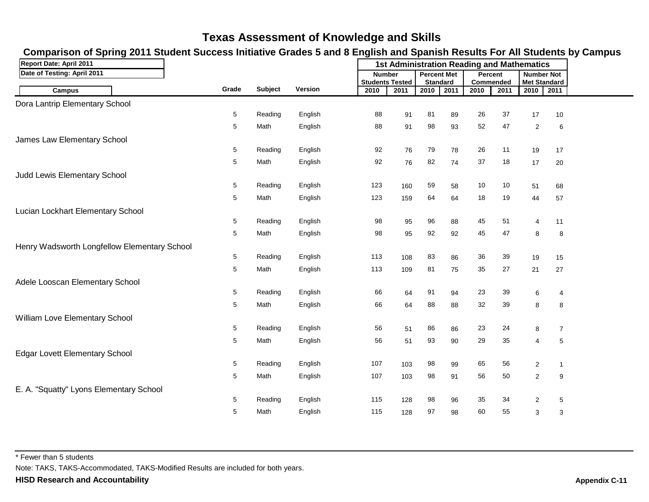| Report Date: April 2011                      |             |         |         |                        | <b>1st Administration Reading and Mathematics</b> |                    |      |           |      |                     |                |  |
|----------------------------------------------|-------------|---------|---------|------------------------|---------------------------------------------------|--------------------|------|-----------|------|---------------------|----------------|--|
| Date of Testing: April 2011                  |             |         |         | <b>Number</b>          |                                                   | <b>Percent Met</b> |      | Percent   |      | <b>Number Not</b>   |                |  |
|                                              | Grade       |         | Version | <b>Students Tested</b> |                                                   | <b>Standard</b>    |      | Commended |      | <b>Met Standard</b> |                |  |
| <b>Campus</b>                                |             | Subject |         | 2010                   | 2011                                              | 2010               | 2011 | 2010      | 2011 | 2010                | 2011           |  |
| Dora Lantrip Elementary School               |             |         |         |                        |                                                   |                    |      |           |      |                     |                |  |
|                                              | 5           | Reading | English | 88                     | 91                                                | 81                 | 89   | 26        | 37   | 17                  | 10             |  |
|                                              | 5           | Math    | English | 88                     | 91                                                | 98                 | 93   | 52        | 47   | $\overline{2}$      | 6              |  |
| James Law Elementary School                  |             |         |         |                        |                                                   |                    |      |           |      |                     |                |  |
|                                              | 5           | Reading | English | 92                     | 76                                                | 79                 | 78   | 26        | 11   | 19                  | 17             |  |
|                                              | $\,$ 5 $\,$ | Math    | English | 92                     | 76                                                | 82                 | 74   | 37        | 18   | 17                  | $20\,$         |  |
| Judd Lewis Elementary School                 |             |         |         |                        |                                                   |                    |      |           |      |                     |                |  |
|                                              | 5           | Reading | English | 123                    | 160                                               | 59                 | 58   | 10        | 10   | 51                  | 68             |  |
|                                              | 5           | Math    | English | 123                    | 159                                               | 64                 | 64   | 18        | 19   | 44                  | 57             |  |
| Lucian Lockhart Elementary School            |             |         |         |                        |                                                   |                    |      |           |      |                     |                |  |
|                                              | 5           | Reading | English | 98                     | 95                                                | 96                 | 88   | 45        | 51   | $\overline{4}$      | 11             |  |
|                                              | 5           | Math    | English | 98                     | 95                                                | 92                 | 92   | 45        | 47   | 8                   | 8              |  |
|                                              |             |         |         |                        |                                                   |                    |      |           |      |                     |                |  |
| Henry Wadsworth Longfellow Elementary School | 5           | Reading | English | 113                    | 108                                               | 83                 | 86   | 36        | 39   | 19                  | 15             |  |
|                                              |             |         |         |                        |                                                   |                    |      |           |      |                     |                |  |
|                                              | 5           | Math    | English | 113                    | 109                                               | 81                 | 75   | 35        | 27   | 21                  | 27             |  |
| Adele Looscan Elementary School              |             |         |         |                        |                                                   |                    |      |           |      |                     |                |  |
|                                              | 5           | Reading | English | 66                     | 64                                                | 91                 | 94   | 23        | 39   | 6                   | $\overline{4}$ |  |
|                                              | 5           | Math    | English | 66                     | 64                                                | 88                 | 88   | 32        | 39   | 8                   | 8              |  |
| William Love Elementary School               |             |         |         |                        |                                                   |                    |      |           |      |                     |                |  |
|                                              | 5           | Reading | English | 56                     | 51                                                | 86                 | 86   | 23        | 24   | 8                   | $\overline{7}$ |  |
|                                              | 5           | Math    | English | 56                     | 51                                                | 93                 | 90   | 29        | 35   | 4                   | $\mathbf 5$    |  |
| <b>Edgar Lovett Elementary School</b>        |             |         |         |                        |                                                   |                    |      |           |      |                     |                |  |
|                                              | 5           | Reading | English | 107                    | 103                                               | 98                 | 99   | 65        | 56   | $\overline{c}$      | $\mathbf{1}$   |  |
|                                              | 5           | Math    | English | 107                    | 103                                               | 98                 | 91   | 56        | 50   | $\overline{2}$      | 9              |  |
| E. A. "Squatty" Lyons Elementary School      |             |         |         |                        |                                                   |                    |      |           |      |                     |                |  |
|                                              | 5           | Reading | English | 115                    | 128                                               | 98                 | 96   | 35        | 34   | 2                   | 5              |  |
|                                              | 5           | Math    | English | 115                    | 128                                               | 97                 | 98   | 60        | 55   | 3                   | 3              |  |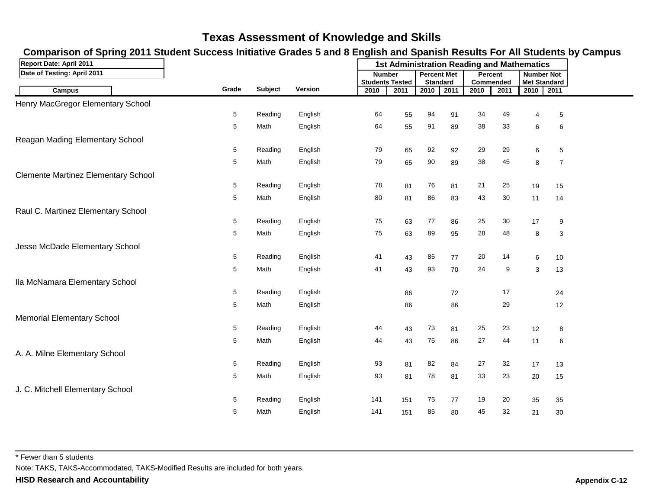| Report Date: April 2011                    |  |                 |         |         |                                | <b>1st Administration Reading and Mathematics</b> |                         |        |        |                   |                           |                             |  |
|--------------------------------------------|--|-----------------|---------|---------|--------------------------------|---------------------------------------------------|-------------------------|--------|--------|-------------------|---------------------------|-----------------------------|--|
| Date of Testing: April 2011                |  |                 |         |         | <b>Number</b>                  |                                                   | <b>Percent Met</b>      |        |        | Percent           | <b>Number Not</b>         |                             |  |
| Campus                                     |  | Grade           | Subject | Version | <b>Students Tested</b><br>2010 | 2011                                              | <b>Standard</b><br>2010 | 2011   | 2010   | Commended<br>2011 | 2010                      | <b>Met Standard</b><br>2011 |  |
| Henry MacGregor Elementary School          |  |                 |         |         |                                |                                                   |                         |        |        |                   |                           |                             |  |
|                                            |  | $5\phantom{.0}$ | Reading | English | 64                             | 55                                                | 94                      | 91     | 34     | 49                | 4                         | 5                           |  |
|                                            |  | $\sqrt{5}$      | Math    | English | 64                             | 55                                                | 91                      | 89     | $38\,$ | 33                | 6                         | 6                           |  |
|                                            |  |                 |         |         |                                |                                                   |                         |        |        |                   |                           |                             |  |
| Reagan Mading Elementary School            |  | 5               | Reading | English | 79                             | 65                                                | 92                      | 92     | 29     | 29                | 6                         | $\sqrt{5}$                  |  |
|                                            |  | 5               | Math    | English | 79                             | 65                                                | $90\,$                  | 89     | 38     | 45                | 8                         | $\overline{7}$              |  |
|                                            |  |                 |         |         |                                |                                                   |                         |        |        |                   |                           |                             |  |
| <b>Clemente Martinez Elementary School</b> |  | 5               | Reading | English | 78                             | 81                                                | 76                      | 81     | 21     | 25                | 19                        | 15                          |  |
|                                            |  | 5               | Math    | English | 80                             |                                                   | 86                      | 83     | 43     | $30\,$            |                           |                             |  |
|                                            |  |                 |         |         |                                | 81                                                |                         |        |        |                   | 11                        | 14                          |  |
| Raul C. Martinez Elementary School         |  | 5               | Reading | English | 75                             | 63                                                | 77                      | 86     | 25     | 30                | 17                        | 9                           |  |
|                                            |  |                 |         |         |                                |                                                   |                         |        |        |                   |                           |                             |  |
|                                            |  | 5               | Math    | English | 75                             | 63                                                | 89                      | 95     | 28     | 48                | 8                         | 3                           |  |
| Jesse McDade Elementary School             |  |                 |         |         |                                |                                                   |                         |        |        |                   |                           |                             |  |
|                                            |  | 5               | Reading | English | 41                             | 43                                                | 85                      | 77     | 20     | 14                | 6                         | 10                          |  |
|                                            |  | 5               | Math    | English | 41                             | 43                                                | 93                      | $70\,$ | 24     | 9                 | $\ensuremath{\mathsf{3}}$ | 13                          |  |
| Ila McNamara Elementary School             |  |                 |         |         |                                |                                                   |                         |        |        |                   |                           |                             |  |
|                                            |  | 5               | Reading | English |                                | 86                                                |                         | 72     |        | 17                |                           | 24                          |  |
|                                            |  | 5               | Math    | English |                                | 86                                                |                         | 86     |        | 29                |                           | 12                          |  |
| <b>Memorial Elementary School</b>          |  |                 |         |         |                                |                                                   |                         |        |        |                   |                           |                             |  |
|                                            |  | 5               | Reading | English | 44                             | 43                                                | 73                      | 81     | 25     | 23                | 12                        | 8                           |  |
|                                            |  | 5               | Math    | English | 44                             | 43                                                | 75                      | 86     | $27\,$ | 44                | 11                        | 6                           |  |
| A. A. Milne Elementary School              |  |                 |         |         |                                |                                                   |                         |        |        |                   |                           |                             |  |
|                                            |  | 5               | Reading | English | 93                             | 81                                                | 82                      | 84     | 27     | 32                | 17                        | 13                          |  |
|                                            |  | 5               | Math    | English | 93                             | 81                                                | ${\bf 78}$              | 81     | 33     | 23                | 20                        | 15                          |  |
| J. C. Mitchell Elementary School           |  |                 |         |         |                                |                                                   |                         |        |        |                   |                           |                             |  |
|                                            |  | 5               | Reading | English | 141                            | 151                                               | 75                      | 77     | 19     | 20                | 35                        | 35                          |  |
|                                            |  | 5               | Math    | English | 141                            | 151                                               | 85                      | 80     | 45     | 32                | 21                        | 30                          |  |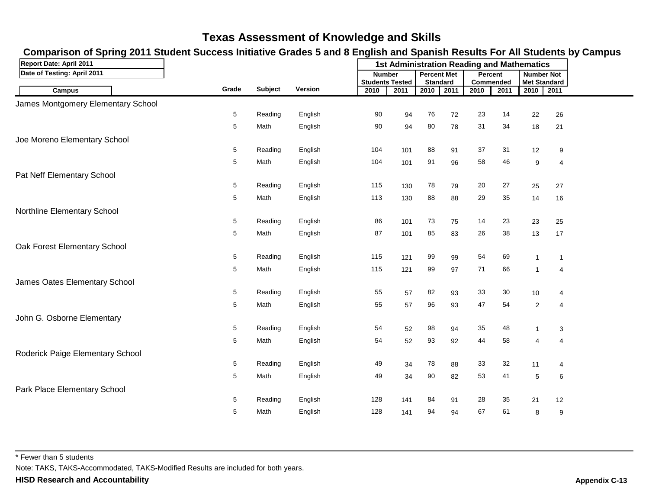| Report Date: April 2011            |       |                |         |                                | <b>1st Administration Reading and Mathematics</b> |                         |      |                   |         |                             |              |  |
|------------------------------------|-------|----------------|---------|--------------------------------|---------------------------------------------------|-------------------------|------|-------------------|---------|-----------------------------|--------------|--|
| Date of Testing: April 2011        |       |                |         | <b>Number</b>                  |                                                   | <b>Percent Met</b>      |      |                   | Percent | <b>Number Not</b>           |              |  |
| <b>Campus</b>                      | Grade | <b>Subject</b> | Version | <b>Students Tested</b><br>2010 | 2011                                              | <b>Standard</b><br>2010 | 2011 | Commended<br>2010 | 2011    | <b>Met Standard</b><br>2010 | 2011         |  |
|                                    |       |                |         |                                |                                                   |                         |      |                   |         |                             |              |  |
| James Montgomery Elementary School | 5     | Reading        | English | 90                             | 94                                                | 76                      | 72   | 23                | 14      | 22                          | 26           |  |
|                                    | 5     | Math           | English | 90                             |                                                   | 80                      |      | 31                | 34      |                             |              |  |
|                                    |       |                |         |                                | 94                                                |                         | 78   |                   |         | 18                          | 21           |  |
| Joe Moreno Elementary School       | 5     | Reading        | English | 104                            |                                                   | 88                      |      | 37                | 31      |                             |              |  |
|                                    |       |                |         |                                | 101                                               |                         | 91   |                   |         | 12                          | 9            |  |
|                                    | 5     | Math           | English | 104                            | 101                                               | 91                      | 96   | 58                | 46      | 9                           | 4            |  |
| Pat Neff Elementary School         |       |                |         |                                |                                                   |                         |      |                   |         |                             |              |  |
|                                    | 5     | Reading        | English | 115                            | 130                                               | 78                      | 79   | 20                | 27      | 25                          | 27           |  |
|                                    | 5     | Math           | English | 113                            | 130                                               | 88                      | 88   | 29                | 35      | 14                          | 16           |  |
| Northline Elementary School        |       |                |         |                                |                                                   |                         |      |                   |         |                             |              |  |
|                                    | 5     | Reading        | English | 86                             | 101                                               | 73                      | 75   | 14                | 23      | 23                          | 25           |  |
|                                    | 5     | Math           | English | 87                             | 101                                               | 85                      | 83   | 26                | 38      | 13                          | 17           |  |
| Oak Forest Elementary School       |       |                |         |                                |                                                   |                         |      |                   |         |                             |              |  |
|                                    | 5     | Reading        | English | 115                            | 121                                               | 99                      | 99   | 54                | 69      | $\overline{1}$              | $\mathbf{1}$ |  |
|                                    | 5     | Math           | English | 115                            | 121                                               | 99                      | 97   | 71                | 66      | $\mathbf{1}$                | 4            |  |
| James Oates Elementary School      |       |                |         |                                |                                                   |                         |      |                   |         |                             |              |  |
|                                    | 5     | Reading        | English | 55                             | 57                                                | 82                      | 93   | 33                | $30\,$  | 10                          | 4            |  |
|                                    | 5     | Math           | English | 55                             | 57                                                | 96                      | 93   | 47                | 54      | $\sqrt{2}$                  | 4            |  |
| John G. Osborne Elementary         |       |                |         |                                |                                                   |                         |      |                   |         |                             |              |  |
|                                    | 5     | Reading        | English | 54                             | 52                                                | 98                      | 94   | 35                | 48      | $\overline{1}$              | 3            |  |
|                                    | 5     | Math           | English | 54                             | 52                                                | 93                      | 92   | 44                | 58      | $\overline{4}$              | 4            |  |
| Roderick Paige Elementary School   |       |                |         |                                |                                                   |                         |      |                   |         |                             |              |  |
|                                    | 5     | Reading        | English | 49                             | 34                                                | 78                      | 88   | 33                | 32      | 11                          | 4            |  |
|                                    | 5     | Math           | English | 49                             | 34                                                | $90\,$                  | 82   | 53                | 41      | $\,$ 5 $\,$                 | 6            |  |
| Park Place Elementary School       |       |                |         |                                |                                                   |                         |      |                   |         |                             |              |  |
|                                    | 5     | Reading        | English | 128                            | 141                                               | 84                      | 91   | 28                | 35      | 21                          | 12           |  |
|                                    | 5     | Math           | English | 128                            | 141                                               | 94                      | 94   | 67                | 61      | 8                           | 9            |  |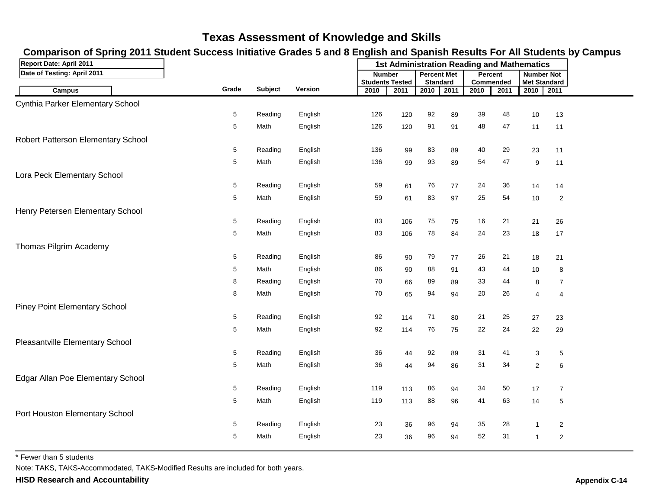# **Comparison of Spring 2011 Student Success Initiative Grades 5 and 8 English and Spanish Results For All Students by Campus**

| Report Date: April 2011              |       |         |         |                                |      |                         |      |                   |         | <b>1st Administration Reading and Mathematics</b> |                  |
|--------------------------------------|-------|---------|---------|--------------------------------|------|-------------------------|------|-------------------|---------|---------------------------------------------------|------------------|
| Date of Testing: April 2011          |       |         |         | <b>Number</b>                  |      | <b>Percent Met</b>      |      |                   | Percent | <b>Number Not</b>                                 |                  |
| Campus                               | Grade | Subject | Version | <b>Students Tested</b><br>2010 | 2011 | <b>Standard</b><br>2010 | 2011 | Commended<br>2010 | 2011    | <b>Met Standard</b><br>2010                       | 2011             |
| Cynthia Parker Elementary School     |       |         |         |                                |      |                         |      |                   |         |                                                   |                  |
|                                      | 5     | Reading | English | 126                            | 120  | 92                      | 89   | 39                | 48      | 10                                                | 13               |
|                                      | 5     | Math    | English | 126                            | 120  | 91                      | 91   | 48                | 47      | 11                                                | 11               |
| Robert Patterson Elementary School   |       |         |         |                                |      |                         |      |                   |         |                                                   |                  |
|                                      | 5     | Reading | English | 136                            | 99   | 83                      | 89   | 40                | 29      | 23                                                | 11               |
|                                      | 5     | Math    | English | 136                            | 99   | 93                      | 89   | 54                | 47      | 9                                                 | 11               |
| Lora Peck Elementary School          |       |         |         |                                |      |                         |      |                   |         |                                                   |                  |
|                                      | 5     | Reading | English | 59                             | 61   | 76                      | 77   | 24                | 36      | 14                                                | 14               |
|                                      | 5     | Math    | English | 59                             | 61   | 83                      | 97   | 25                | 54      | 10                                                | $\boldsymbol{2}$ |
| Henry Petersen Elementary School     |       |         |         |                                |      |                         |      |                   |         |                                                   |                  |
|                                      | 5     | Reading | English | 83                             | 106  | 75                      | 75   | 16                | 21      | 21                                                | 26               |
|                                      | 5     | Math    | English | 83                             | 106  | 78                      | 84   | 24                | 23      | 18                                                | 17               |
| Thomas Pilgrim Academy               |       |         |         |                                |      |                         |      |                   |         |                                                   |                  |
|                                      | 5     | Reading | English | 86                             | 90   | 79                      | $77$ | 26                | 21      | 18                                                | 21               |
|                                      | 5     | Math    | English | 86                             | 90   | 88                      | 91   | 43                | 44      | 10                                                | 8                |
|                                      | 8     | Reading | English | 70                             | 66   | 89                      | 89   | 33                | 44      | 8                                                 | $\overline{7}$   |
|                                      | 8     | Math    | English | $70\,$                         | 65   | 94                      | 94   | 20                | 26      | $\overline{4}$                                    | $\overline{4}$   |
| <b>Piney Point Elementary School</b> |       |         |         |                                |      |                         |      |                   |         |                                                   |                  |
|                                      | 5     | Reading | English | 92                             | 114  | 71                      | 80   | 21                | 25      | 27                                                | 23               |
|                                      | 5     | Math    | English | 92                             | 114  | 76                      | 75   | 22                | 24      | 22                                                | 29               |
| Pleasantville Elementary School      |       |         |         |                                |      |                         |      |                   |         |                                                   |                  |
|                                      | 5     | Reading | English | 36                             | 44   | 92                      | 89   | 31                | 41      | 3                                                 | $\sqrt{5}$       |
|                                      | 5     | Math    | English | 36                             | 44   | 94                      | 86   | 31                | 34      | $\overline{2}$                                    | $\,6\,$          |
| Edgar Allan Poe Elementary School    |       |         |         |                                |      |                         |      |                   |         |                                                   |                  |
|                                      | 5     | Reading | English | 119                            | 113  | 86                      | 94   | 34                | 50      | 17                                                | $\overline{7}$   |
|                                      | 5     | Math    | English | 119                            | 113  | 88                      | 96   | 41                | 63      | 14                                                | $\,$ 5 $\,$      |
| Port Houston Elementary School       |       |         |         |                                |      |                         |      |                   |         |                                                   |                  |
|                                      | 5     | Reading | English | 23                             | 36   | 96                      | 94   | 35                | 28      | 1                                                 | $\overline{2}$   |
|                                      | 5     | Math    | English | 23                             | 36   | 96                      | 94   | 52                | 31      | $\overline{1}$                                    | $\sqrt{2}$       |

\* Fewer than 5 students

Note: TAKS, TAKS-Accommodated, TAKS-Modified Results are included for both years.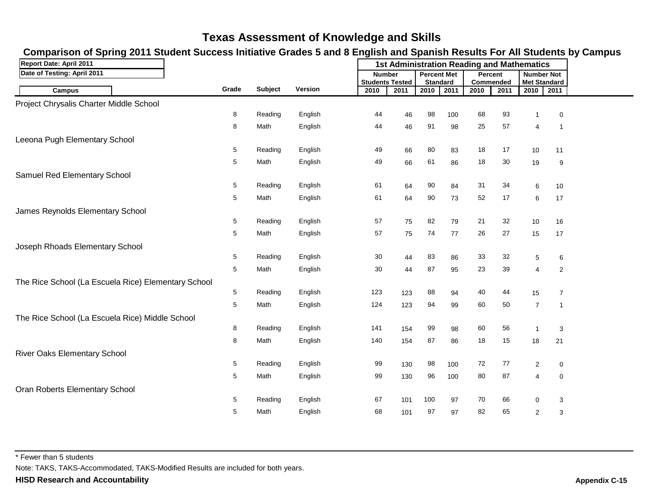| Report Date: April 2011<br><b>1st Administration Reading and Mathematics</b> |           |                                  |  |
|------------------------------------------------------------------------------|-----------|----------------------------------|--|
| Date of Testing: April 2011<br><b>Number</b><br><b>Percent Met</b>           | Percent   | <b>Number Not</b>                |  |
| <b>Students Tested</b><br><b>Standard</b><br>Grade<br>Subject<br>Version     | Commended | <b>Met Standard</b>              |  |
| 2011<br>2010<br>2011<br>2010<br><b>Campus</b><br>2010                        | 2011      | 2011<br>2010                     |  |
| Project Chrysalis Charter Middle School                                      |           |                                  |  |
| 68<br>8<br>Reading<br>English<br>98<br>44<br>46<br>100                       | 93        | $\mathbf{1}$<br>0                |  |
| 44<br>English<br>91<br>25<br>8<br>Math<br>46<br>98                           | 57        | 4<br>$\overline{1}$              |  |
| Leeona Pugh Elementary School                                                |           |                                  |  |
| $5\phantom{.0}$<br>English<br>49<br>80<br>18<br>Reading<br>66<br>83          | $17$      | 10<br>11                         |  |
| 5<br>English<br>49<br>61<br>18<br>Math<br>66<br>86                           | 30        | 19<br>9                          |  |
| Samuel Red Elementary School                                                 |           |                                  |  |
| English<br>90<br>31<br>5<br>Reading<br>61<br>64<br>84                        | 34        | 6<br>10                          |  |
| 52<br>5<br>61<br>90<br>English<br>73<br>Math<br>64                           | 17        | 6<br>17                          |  |
| James Reynolds Elementary School                                             |           |                                  |  |
| English<br>82<br>21<br>5<br>Reading<br>57<br>75<br>79                        | 32        | 10<br>16                         |  |
| 57<br>74<br>$26\,$<br>5<br>English<br>Math<br>75<br>77                       | 27        | 15<br>$17$                       |  |
|                                                                              |           |                                  |  |
| Joseph Rhoads Elementary School<br>5<br>English<br>33<br>Reading<br>30<br>83 | 32        |                                  |  |
| 86<br>44                                                                     |           | 5<br>6                           |  |
| 5<br>English<br>$30\,$<br>87<br>23<br>Math<br>95<br>44                       | 39        | $\overline{4}$<br>$\overline{c}$ |  |
| The Rice School (La Escuela Rice) Elementary School                          |           |                                  |  |
| 5<br>English<br>123<br>88<br>40<br>Reading<br>123<br>94                      | 44        | $\overline{7}$<br>15             |  |
| 60<br>5<br>Math<br>English<br>124<br>94<br>123<br>99                         | 50        | $\overline{7}$<br>$\overline{1}$ |  |
| The Rice School (La Escuela Rice) Middle School                              |           |                                  |  |
| English<br>60<br>Reading<br>141<br>99<br>8<br>154<br>98                      | 56        | 3<br>1                           |  |
| English<br>140<br>87<br>18<br>8<br>Math<br>86<br>154                         | 15        | 18<br>21                         |  |
| <b>River Oaks Elementary School</b>                                          |           |                                  |  |
| 5<br>English<br>99<br>98<br>72<br>Reading<br>100<br>130                      | 77        | $\overline{c}$<br>$\mathbf 0$    |  |
| English<br>80<br>5<br>Math<br>99<br>96<br>130<br>100                         | 87        | 4<br>0                           |  |
| Oran Roberts Elementary School                                               |           |                                  |  |
| 5<br>Reading<br>English<br>67<br>100<br>70<br>101<br>97                      | 66        | 0<br>3                           |  |
| 82<br>5<br>English<br>68<br>97<br>Math<br>101<br>97                          | 65        | $\overline{\mathbf{c}}$<br>3     |  |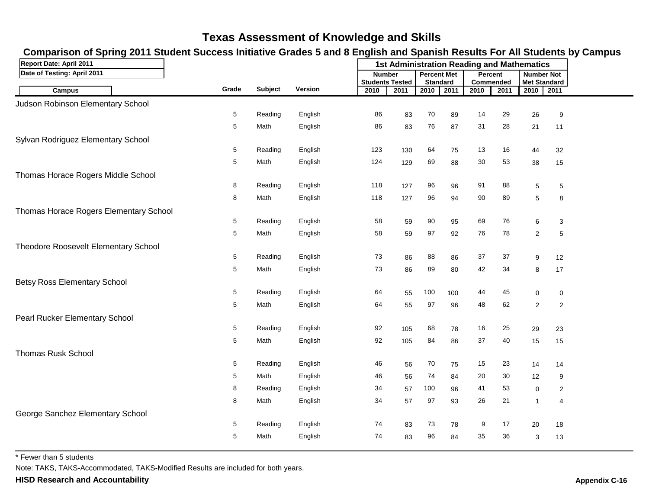#### **Comparison of Spring 2011 Student Success Initiative Grades 5 and 8 English and Spanish Results For All Students by Campus**

| Report Date: April 2011                |            |         |         |                                | <b>1st Administration Reading and Mathematics</b> |                    |                         |      |                   |                             |                  |  |
|----------------------------------------|------------|---------|---------|--------------------------------|---------------------------------------------------|--------------------|-------------------------|------|-------------------|-----------------------------|------------------|--|
| Date of Testing: April 2011            |            |         |         | <b>Number</b>                  |                                                   | <b>Percent Met</b> |                         |      | Percent           | <b>Number Not</b>           |                  |  |
| <b>Campus</b>                          | Grade      | Subject | Version | <b>Students Tested</b><br>2010 | 2011                                              | 2010               | <b>Standard</b><br>2011 | 2010 | Commended<br>2011 | <b>Met Standard</b><br>2010 | 2011             |  |
| Judson Robinson Elementary School      |            |         |         |                                |                                                   |                    |                         |      |                   |                             |                  |  |
|                                        | 5          | Reading | English | 86                             | 83                                                | 70                 | 89                      | 14   | 29                | 26                          | $\boldsymbol{9}$ |  |
|                                        | 5          | Math    | English | 86                             |                                                   | 76                 |                         | 31   | 28                |                             |                  |  |
|                                        |            |         |         |                                | 83                                                |                    | 87                      |      |                   | 21                          | 11               |  |
| Sylvan Rodriguez Elementary School     |            |         | English | 123                            |                                                   | 64                 |                         | 13   | 16                |                             |                  |  |
|                                        | 5          | Reading |         |                                | 130                                               |                    | 75                      |      |                   | 44                          | 32               |  |
|                                        | 5          | Math    | English | 124                            | 129                                               | 69                 | 88                      | 30   | 53                | 38                          | 15               |  |
| Thomas Horace Rogers Middle School     |            |         |         |                                |                                                   |                    |                         |      |                   |                             |                  |  |
|                                        | 8          | Reading | English | 118                            | 127                                               | 96                 | 96                      | 91   | 88                | 5                           | $\mathbf 5$      |  |
|                                        | 8          | Math    | English | 118                            | 127                                               | 96                 | 94                      | 90   | 89                | 5                           | 8                |  |
| Thomas Horace Rogers Elementary School |            |         |         |                                |                                                   |                    |                         |      |                   |                             |                  |  |
|                                        | 5          | Reading | English | 58                             | 59                                                | 90                 | 95                      | 69   | 76                | 6                           | $\sqrt{3}$       |  |
|                                        | 5          | Math    | English | 58                             | 59                                                | 97                 | 92                      | 76   | 78                | $\overline{2}$              | $\overline{5}$   |  |
| Theodore Roosevelt Elementary School   |            |         |         |                                |                                                   |                    |                         |      |                   |                             |                  |  |
|                                        | 5          | Reading | English | 73                             | 86                                                | 88                 | 86                      | 37   | 37                | 9                           | 12               |  |
|                                        | 5          | Math    | English | 73                             | 86                                                | 89                 | 80                      | 42   | 34                | 8                           | 17               |  |
| <b>Betsy Ross Elementary School</b>    |            |         |         |                                |                                                   |                    |                         |      |                   |                             |                  |  |
|                                        | $\sqrt{5}$ | Reading | English | 64                             | 55                                                | 100                | 100                     | 44   | 45                | $\mathbf 0$                 | 0                |  |
|                                        | 5          | Math    | English | 64                             | 55                                                | 97                 | 96                      | 48   | 62                | $\overline{2}$              | $\overline{2}$   |  |
| Pearl Rucker Elementary School         |            |         |         |                                |                                                   |                    |                         |      |                   |                             |                  |  |
|                                        | 5          | Reading | English | 92                             | 105                                               | 68                 | 78                      | 16   | 25                | 29                          | 23               |  |
|                                        | 5          | Math    | English | 92                             | 105                                               | 84                 | 86                      | 37   | 40                | 15                          | 15               |  |
| <b>Thomas Rusk School</b>              |            |         |         |                                |                                                   |                    |                         |      |                   |                             |                  |  |
|                                        | 5          | Reading | English | 46                             | 56                                                | 70                 | 75                      | 15   | 23                | 14                          | 14               |  |
|                                        | 5          | Math    | English | 46                             | 56                                                | 74                 | 84                      | 20   | 30                | 12                          | 9                |  |
|                                        | 8          | Reading | English | 34                             | 57                                                | 100                | 96                      | 41   | 53                | $\mathbf 0$                 | $\overline{2}$   |  |
|                                        | 8          | Math    | English | 34                             | 57                                                | 97                 | 93                      | 26   | 21                | $\mathbf{1}$                | $\overline{4}$   |  |
|                                        |            |         |         |                                |                                                   |                    |                         |      |                   |                             |                  |  |
| George Sanchez Elementary School       |            |         | English | 74                             |                                                   | 73                 |                         |      | 17                |                             |                  |  |
|                                        | 5          | Reading |         |                                | 83                                                |                    | 78                      | 9    |                   | 20                          | 18               |  |
|                                        | 5          | Math    | English | 74                             | 83                                                | 96                 | 84                      | 35   | 36                | 3                           | 13               |  |

\* Fewer than 5 students

Note: TAKS, TAKS-Accommodated, TAKS-Modified Results are included for both years.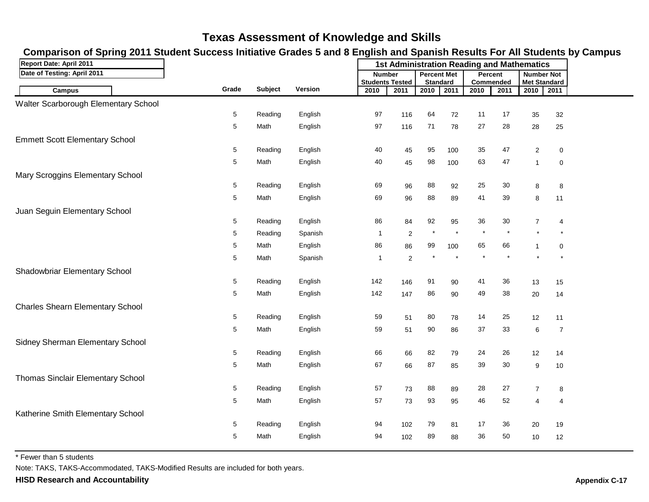#### **Comparison of Spring 2011 Student Success Initiative Grades 5 and 8 English and Spanish Results For All Students by Campus**

| Report Date: April 2011                 |       |                |         |                                |                |        |                         |         |                   | <b>1st Administration Reading and Mathematics</b> |                |  |
|-----------------------------------------|-------|----------------|---------|--------------------------------|----------------|--------|-------------------------|---------|-------------------|---------------------------------------------------|----------------|--|
| Date of Testing: April 2011             |       |                |         | <b>Number</b>                  |                |        | <b>Percent Met</b>      |         | Percent           | <b>Number Not</b>                                 |                |  |
| <b>Campus</b>                           | Grade | <b>Subject</b> | Version | <b>Students Tested</b><br>2010 | 2011           | 2010   | <b>Standard</b><br>2011 | 2010    | Commended<br>2011 | <b>Met Standard</b><br>2010                       | 2011           |  |
|                                         |       |                |         |                                |                |        |                         |         |                   |                                                   |                |  |
| Walter Scarborough Elementary School    | 5     | Reading        | English | 97                             | 116            | 64     | 72                      | 11      | 17                | 35                                                | 32             |  |
|                                         | 5     | Math           | English | 97                             |                | 71     | 78                      | 27      | 28                |                                                   |                |  |
|                                         |       |                |         |                                | 116            |        |                         |         |                   | 28                                                | 25             |  |
| <b>Emmett Scott Elementary School</b>   |       |                |         |                                |                |        |                         |         |                   |                                                   |                |  |
|                                         | 5     | Reading        | English | 40                             | 45             | 95     | 100                     | 35      | 47                | $\overline{c}$                                    | $\mathbf 0$    |  |
|                                         | 5     | Math           | English | 40                             | 45             | 98     | 100                     | 63      | 47                | $\overline{1}$                                    | 0              |  |
| Mary Scroggins Elementary School        |       |                |         |                                |                |        |                         |         |                   |                                                   |                |  |
|                                         | 5     | Reading        | English | 69                             | 96             | 88     | 92                      | 25      | 30                | 8                                                 | 8              |  |
|                                         | 5     | Math           | English | 69                             | 96             | 88     | 89                      | 41      | 39                | 8                                                 | 11             |  |
| Juan Seguin Elementary School           |       |                |         |                                |                |        |                         |         |                   |                                                   |                |  |
|                                         | 5     | Reading        | English | 86                             | 84             | 92     | 95                      | 36      | 30                | $\overline{7}$                                    | 4              |  |
|                                         | 5     | Reading        | Spanish | $\mathbf{1}$                   | $\mathbf 2$    |        | $\star$                 | $\star$ | $\star$           |                                                   | $\star$        |  |
|                                         | 5     | Math           | English | 86                             | 86             | 99     | 100                     | 65      | 66                | $\mathbf{1}$                                      | 0              |  |
|                                         | 5     | Math           | Spanish | $\mathbf{1}$                   | $\overline{2}$ |        |                         | $\star$ |                   |                                                   |                |  |
| Shadowbriar Elementary School           |       |                |         |                                |                |        |                         |         |                   |                                                   |                |  |
|                                         | 5     | Reading        | English | 142                            | 146            | 91     | 90                      | 41      | 36                | 13                                                | 15             |  |
|                                         | 5     | Math           | English | 142                            | 147            | 86     | 90                      | 49      | 38                | 20                                                | 14             |  |
| <b>Charles Shearn Elementary School</b> |       |                |         |                                |                |        |                         |         |                   |                                                   |                |  |
|                                         | 5     | Reading        | English | 59                             | 51             | 80     | 78                      | 14      | 25                | 12                                                | 11             |  |
|                                         | 5     | Math           | English | 59                             | 51             | $90\,$ | 86                      | 37      | 33                | 6                                                 | $\overline{7}$ |  |
| Sidney Sherman Elementary School        |       |                |         |                                |                |        |                         |         |                   |                                                   |                |  |
|                                         | 5     | Reading        | English | 66                             | 66             | 82     | 79                      | 24      | 26                | 12                                                | 14             |  |
|                                         | 5     | Math           | English | 67                             | 66             | 87     | 85                      | 39      | 30                | 9                                                 | 10             |  |
|                                         |       |                |         |                                |                |        |                         |         |                   |                                                   |                |  |
| Thomas Sinclair Elementary School       |       |                |         | 57                             |                | 88     |                         | 28      | 27                |                                                   |                |  |
|                                         | 5     | Reading        | English |                                | 73             |        | 89                      |         |                   | $\overline{7}$                                    | 8              |  |
|                                         | 5     | Math           | English | 57                             | 73             | 93     | 95                      | 46      | 52                | $\overline{4}$                                    | 4              |  |
| Katherine Smith Elementary School       |       |                |         |                                |                |        |                         |         |                   |                                                   |                |  |
|                                         | 5     | Reading        | English | 94                             | 102            | 79     | 81                      | 17      | 36                | 20                                                | 19             |  |
|                                         | 5     | Math           | English | 94                             | 102            | 89     | 88                      | 36      | 50                | 10                                                | 12             |  |
|                                         |       |                |         |                                |                |        |                         |         |                   |                                                   |                |  |

\* Fewer than 5 students

Note: TAKS, TAKS-Accommodated, TAKS-Modified Results are included for both years.

**HISD Research and Accountability Appendix C-17 Appendix C-17**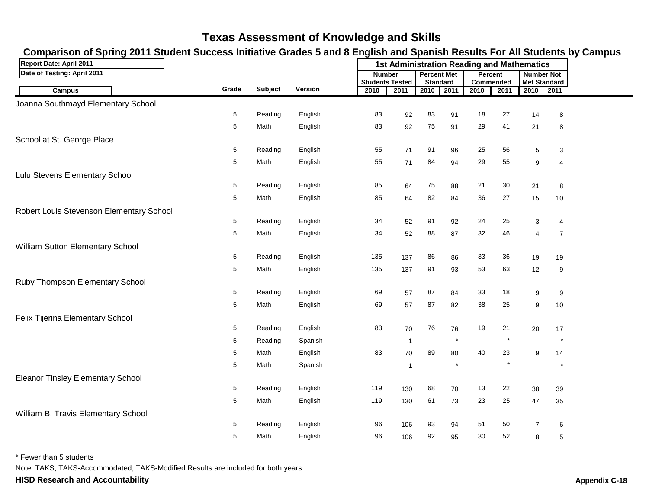#### **Comparison of Spring 2011 Student Success Initiative Grades 5 and 8 English and Spanish Results For All Students by Campus**

| Report Date: April 2011                  |       |         |         |                                |                |                         |         |      |                   | <b>1st Administration Reading and Mathematics</b> |                  |  |
|------------------------------------------|-------|---------|---------|--------------------------------|----------------|-------------------------|---------|------|-------------------|---------------------------------------------------|------------------|--|
| Date of Testing: April 2011              |       |         |         | <b>Number</b>                  |                | <b>Percent Met</b>      |         |      | Percent           | <b>Number Not</b>                                 |                  |  |
| <b>Campus</b>                            | Grade | Subject | Version | <b>Students Tested</b><br>2010 | 2011           | <b>Standard</b><br>2010 | 2011    | 2010 | Commended<br>2011 | Met Standard<br>2010                              | 2011             |  |
|                                          |       |         |         |                                |                |                         |         |      |                   |                                                   |                  |  |
| Joanna Southmayd Elementary School       | 5     | Reading | English | 83                             | 92             | 83                      | 91      | 18   | 27                | 14                                                |                  |  |
|                                          |       |         |         |                                |                |                         |         |      |                   |                                                   | 8                |  |
|                                          | 5     | Math    | English | 83                             | 92             | 75                      | 91      | 29   | 41                | 21                                                | 8                |  |
| School at St. George Place               |       |         |         |                                |                |                         |         |      |                   |                                                   |                  |  |
|                                          | 5     | Reading | English | 55                             | 71             | 91                      | 96      | 25   | 56                | 5                                                 | 3                |  |
|                                          | 5     | Math    | English | 55                             | 71             | 84                      | 94      | 29   | 55                | 9                                                 | 4                |  |
| Lulu Stevens Elementary School           |       |         |         |                                |                |                         |         |      |                   |                                                   |                  |  |
|                                          | 5     | Reading | English | 85                             | 64             | 75                      | 88      | 21   | 30                | 21                                                | 8                |  |
|                                          | 5     | Math    | English | 85                             | 64             | 82                      | 84      | 36   | $27\,$            | 15                                                | 10               |  |
| Robert Louis Stevenson Elementary School |       |         |         |                                |                |                         |         |      |                   |                                                   |                  |  |
|                                          | 5     | Reading | English | 34                             | 52             | 91                      | 92      | 24   | 25                | 3                                                 | 4                |  |
|                                          | 5     | Math    | English | 34                             | 52             | 88                      | 87      | 32   | 46                | 4                                                 | $\boldsymbol{7}$ |  |
| William Sutton Elementary School         |       |         |         |                                |                |                         |         |      |                   |                                                   |                  |  |
|                                          | 5     | Reading | English | 135                            | 137            | 86                      | 86      | 33   | 36                | 19                                                | 19               |  |
|                                          | 5     | Math    | English | 135                            | 137            | 91                      | 93      | 53   | 63                | 12                                                | $\boldsymbol{9}$ |  |
| Ruby Thompson Elementary School          |       |         |         |                                |                |                         |         |      |                   |                                                   |                  |  |
|                                          | 5     | Reading | English | 69                             | 57             | 87                      | 84      | 33   | 18                | 9                                                 | 9                |  |
|                                          | 5     | Math    | English | 69                             | 57             | 87                      | 82      | 38   | 25                | 9                                                 | 10               |  |
| Felix Tijerina Elementary School         |       |         |         |                                |                |                         |         |      |                   |                                                   |                  |  |
|                                          | 5     | Reading | English | 83                             | $70\,$         | 76                      | 76      | 19   | 21                | 20                                                | 17               |  |
|                                          | 5     | Reading | Spanish |                                | $\mathbf 1$    |                         | $\star$ |      |                   |                                                   | $\star$          |  |
|                                          | 5     | Math    | English | 83                             | $70\,$         | 89                      | 80      | 40   | 23                | 9                                                 | 14               |  |
|                                          | 5     | Math    | Spanish |                                | $\overline{1}$ |                         | $\star$ |      |                   |                                                   |                  |  |
| <b>Eleanor Tinsley Elementary School</b> |       |         |         |                                |                |                         |         |      |                   |                                                   |                  |  |
|                                          | 5     | Reading | English | 119                            | 130            | 68                      | 70      | 13   | 22                | 38                                                | 39               |  |
|                                          | 5     | Math    | English | 119                            | 130            | 61                      | 73      | 23   | 25                | 47                                                | 35               |  |
| William B. Travis Elementary School      |       |         |         |                                |                |                         |         |      |                   |                                                   |                  |  |
|                                          | 5     | Reading | English | 96                             | 106            | 93                      | 94      | 51   | 50                | $\overline{7}$                                    | 6                |  |
|                                          | 5     | Math    | English | 96                             | 106            | 92                      | 95      | 30   | 52                | 8                                                 | 5                |  |
|                                          |       |         |         |                                |                |                         |         |      |                   |                                                   |                  |  |

\* Fewer than 5 students

Note: TAKS, TAKS-Accommodated, TAKS-Modified Results are included for both years.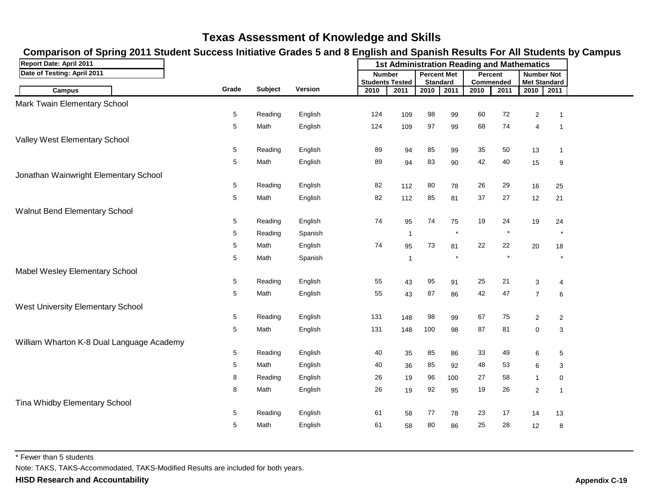# **Comparison of Spring 2011 Student Success Initiative Grades 5 and 8 English and Spanish Results For All Students by Campus**

| Report Date: April 2011<br><b>1st Administration Reading and Mathematics</b> |            |                |         |      |                                |                    |                         |        |                   |                             |                           |  |
|------------------------------------------------------------------------------|------------|----------------|---------|------|--------------------------------|--------------------|-------------------------|--------|-------------------|-----------------------------|---------------------------|--|
| Date of Testing: April 2011                                                  |            |                |         |      | <b>Number</b>                  | <b>Percent Met</b> |                         |        | Percent           | <b>Number Not</b>           |                           |  |
| <b>Campus</b>                                                                | Grade      | <b>Subject</b> | Version | 2010 | <b>Students Tested</b><br>2011 | 2010               | <b>Standard</b><br>2011 | 2010   | Commended<br>2011 | <b>Met Standard</b><br>2010 | 2011                      |  |
|                                                                              |            |                |         |      |                                |                    |                         |        |                   |                             |                           |  |
| Mark Twain Elementary School                                                 |            |                |         |      |                                |                    |                         |        |                   |                             |                           |  |
|                                                                              | $\sqrt{5}$ | Reading        | English | 124  | 109                            | 98                 | 99                      | 60     | 72                | $\overline{\mathbf{c}}$     | $\mathbf{1}$              |  |
|                                                                              | 5          | Math           | English | 124  | 109                            | 97                 | 99                      | 68     | 74                | 4                           | $\mathbf{1}$              |  |
| Valley West Elementary School                                                |            |                |         |      |                                |                    |                         |        |                   |                             |                           |  |
|                                                                              | 5          | Reading        | English | 89   | 94                             | 85                 | 99                      | 35     | 50                | 13                          | $\mathbf{1}$              |  |
|                                                                              | $\sqrt{5}$ | Math           | English | 89   | 94                             | 83                 | 90                      | 42     | $40\,$            | 15                          | $\boldsymbol{9}$          |  |
| Jonathan Wainwright Elementary School                                        |            |                |         |      |                                |                    |                         |        |                   |                             |                           |  |
|                                                                              | 5          | Reading        | English | 82   | 112                            | 80                 | 78                      | 26     | 29                | 16                          | 25                        |  |
|                                                                              | 5          | Math           | English | 82   | 112                            | 85                 | 81                      | 37     | 27                | 12                          | 21                        |  |
| <b>Walnut Bend Elementary School</b>                                         |            |                |         |      |                                |                    |                         |        |                   |                             |                           |  |
|                                                                              | 5          | Reading        | English | 74   | 95                             | 74                 | 75                      | 19     | 24                | 19                          | 24                        |  |
|                                                                              | 5          | Reading        | Spanish |      | $\mathbf{1}$                   |                    | $\star$                 |        | $\star$           |                             | $\star$                   |  |
|                                                                              | 5          | Math           | English | 74   | 95                             | 73                 | 81                      | 22     | 22                | 20                          | 18                        |  |
|                                                                              | 5          | Math           | Spanish |      | $\mathbf{1}$                   |                    | $\star$                 |        |                   |                             |                           |  |
| Mabel Wesley Elementary School                                               |            |                |         |      |                                |                    |                         |        |                   |                             |                           |  |
|                                                                              | 5          | Reading        | English | 55   | 43                             | 95                 | 91                      | 25     | 21                | 3                           | 4                         |  |
|                                                                              | 5          | Math           | English | 55   | 43                             | 87                 | 86                      | 42     | 47                | $\overline{7}$              | 6                         |  |
| West University Elementary School                                            |            |                |         |      |                                |                    |                         |        |                   |                             |                           |  |
|                                                                              | 5          | Reading        | English | 131  | 148                            | 98                 | 99                      | 67     | 75                | $\overline{\mathbf{c}}$     | $\sqrt{2}$                |  |
|                                                                              | 5          | Math           | English | 131  | 148                            | 100                | 98                      | 87     | 81                | 0                           | 3                         |  |
| William Wharton K-8 Dual Language Academy                                    |            |                |         |      |                                |                    |                         |        |                   |                             |                           |  |
|                                                                              | 5          | Reading        | English | 40   | 35                             | 85                 | 86                      | 33     | 49                | 6                           | $\,$ 5 $\,$               |  |
|                                                                              | 5          | Math           | English | 40   | 36                             | 85                 | 92                      | 48     | 53                | 6                           | $\ensuremath{\mathsf{3}}$ |  |
|                                                                              | 8          | Reading        | English | 26   | 19                             | 96                 | 100                     | $27\,$ | 58                | $\mathbf{1}$                | $\pmb{0}$                 |  |
|                                                                              | 8          | Math           | English | 26   | 19                             | 92                 | 95                      | 19     | 26                | $\overline{\mathbf{c}}$     | $\mathbf{1}$              |  |
| Tina Whidby Elementary School                                                |            |                |         |      |                                |                    |                         |        |                   |                             |                           |  |
|                                                                              | 5          | Reading        | English | 61   | 58                             | 77                 | 78                      | 23     | 17                | 14                          | 13                        |  |
|                                                                              | 5          | Math           | English | 61   | 58                             | 80                 | 86                      | 25     | 28                | 12                          | 8                         |  |
|                                                                              |            |                |         |      |                                |                    |                         |        |                   |                             |                           |  |

\* Fewer than 5 students

Note: TAKS, TAKS-Accommodated, TAKS-Modified Results are included for both years.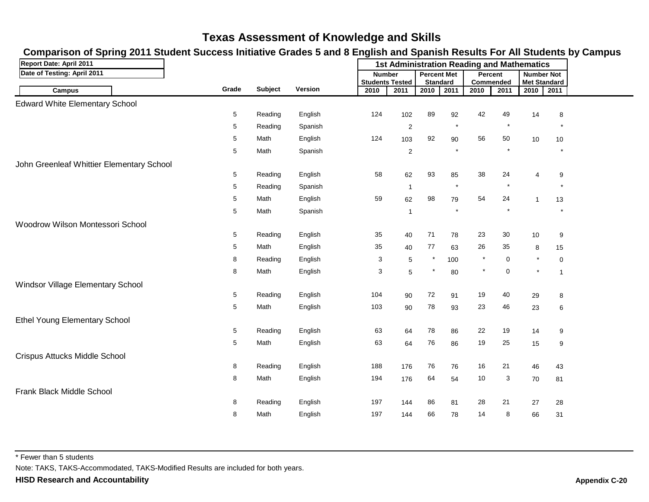| Report Date: April 2011                   |       |         |         |                                | <b>1st Administration Reading and Mathematics</b> |                         |         |                   |             |                             |                |  |
|-------------------------------------------|-------|---------|---------|--------------------------------|---------------------------------------------------|-------------------------|---------|-------------------|-------------|-----------------------------|----------------|--|
| Date of Testing: April 2011               |       |         |         | <b>Number</b>                  |                                                   | <b>Percent Met</b>      |         |                   | Percent     | <b>Number Not</b>           |                |  |
| <b>Campus</b>                             | Grade | Subject | Version | <b>Students Tested</b><br>2010 | 2011                                              | <b>Standard</b><br>2010 | 2011    | Commended<br>2010 | 2011        | <b>Met Standard</b><br>2010 | 2011           |  |
|                                           |       |         |         |                                |                                                   |                         |         |                   |             |                             |                |  |
| <b>Edward White Elementary School</b>     |       |         |         |                                |                                                   |                         |         |                   |             |                             |                |  |
|                                           | 5     | Reading | English | 124                            | 102                                               | 89                      | 92      | 42                | 49          | 14                          | 8              |  |
|                                           | 5     | Reading | Spanish |                                | $\overline{c}$                                    |                         | $\star$ |                   | $\star$     |                             | $\star$        |  |
|                                           | 5     | Math    | English | 124                            | 103                                               | 92                      | 90      | 56                | 50          | 10                          | 10             |  |
|                                           | 5     | Math    | Spanish |                                | $\overline{c}$                                    |                         | $\star$ |                   |             |                             | $\star$        |  |
| John Greenleaf Whittier Elementary School |       |         |         |                                |                                                   |                         |         |                   |             |                             |                |  |
|                                           | 5     | Reading | English | 58                             | 62                                                | 93                      | 85      | 38                | 24          | $\overline{4}$              | 9              |  |
|                                           | 5     | Reading | Spanish |                                | $\overline{1}$                                    |                         | $\star$ |                   |             |                             | $\star$        |  |
|                                           | 5     | Math    | English | 59                             | 62                                                | 98                      | 79      | 54                | 24          | $\mathbf{1}$                | 13             |  |
|                                           | 5     | Math    | Spanish |                                | $\mathbf{1}$                                      |                         | $\star$ |                   |             |                             | $\star$        |  |
| Woodrow Wilson Montessori School          |       |         |         |                                |                                                   |                         |         |                   |             |                             |                |  |
|                                           | 5     | Reading | English | 35                             | 40                                                | 71                      | 78      | 23                | $30\,$      | 10                          | 9              |  |
|                                           | 5     | Math    | English | 35                             | 40                                                | 77                      | 63      | $26\,$            | 35          | 8                           | 15             |  |
|                                           | 8     | Reading | English | 3                              | 5                                                 |                         | 100     |                   | $\mathbf 0$ | $\star$                     | $\mathbf 0$    |  |
|                                           | 8     | Math    | English | 3                              | 5                                                 | $\star$                 | 80      | $\star$           | $\mathbf 0$ | $\star$                     | $\overline{1}$ |  |
|                                           |       |         |         |                                |                                                   |                         |         |                   |             |                             |                |  |
| Windsor Village Elementary School         |       |         |         |                                |                                                   |                         |         |                   |             |                             |                |  |
|                                           | 5     | Reading | English | 104                            | 90                                                | 72                      | 91      | 19                | 40          | 29                          | 8              |  |
|                                           | 5     | Math    | English | 103                            | 90                                                | 78                      | 93      | 23                | 46          | 23                          | 6              |  |
| <b>Ethel Young Elementary School</b>      |       |         |         |                                |                                                   |                         |         |                   |             |                             |                |  |
|                                           | 5     | Reading | English | 63                             | 64                                                | 78                      | 86      | 22                | 19          | 14                          | 9              |  |
|                                           | 5     | Math    | English | 63                             | 64                                                | 76                      | 86      | 19                | 25          | 15                          | 9              |  |
| Crispus Attucks Middle School             |       |         |         |                                |                                                   |                         |         |                   |             |                             |                |  |
|                                           | 8     | Reading | English | 188                            | 176                                               | 76                      | 76      | 16                | 21          | 46                          | 43             |  |
|                                           | 8     | Math    | English | 194                            | 176                                               | 64                      | 54      | 10                | 3           | 70                          | 81             |  |
| Frank Black Middle School                 |       |         |         |                                |                                                   |                         |         |                   |             |                             |                |  |
|                                           | 8     | Reading | English | 197                            | 144                                               | 86                      | 81      | 28                | 21          | 27                          | 28             |  |
|                                           | 8     | Math    | English | 197                            | 144                                               | 66                      | 78      | 14                | 8           | 66                          | 31             |  |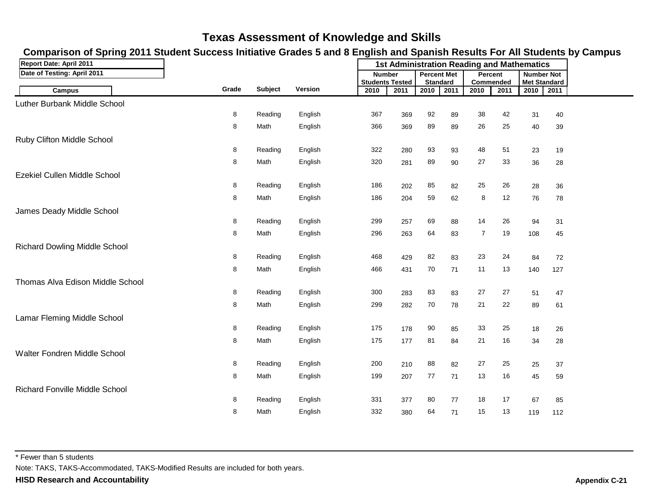| Report Date: April 2011               |       | <b>1st Administration Reading and Mathematics</b> |         |  |                                |      |                         |      |                   |      |                             |      |  |
|---------------------------------------|-------|---------------------------------------------------|---------|--|--------------------------------|------|-------------------------|------|-------------------|------|-----------------------------|------|--|
| Date of Testing: April 2011           |       |                                                   |         |  | <b>Number</b>                  |      | <b>Percent Met</b>      |      | Percent           |      | <b>Number Not</b>           |      |  |
| <b>Campus</b>                         | Grade | Subject                                           | Version |  | <b>Students Tested</b><br>2010 | 2011 | <b>Standard</b><br>2010 | 2011 | Commended<br>2010 | 2011 | <b>Met Standard</b><br>2010 | 2011 |  |
|                                       |       |                                                   |         |  |                                |      |                         |      |                   |      |                             |      |  |
| Luther Burbank Middle School          | 8     | Reading                                           | English |  | 367                            |      | 92                      | 89   | 38                | 42   | 31                          |      |  |
|                                       |       |                                                   |         |  |                                | 369  |                         |      |                   |      |                             | 40   |  |
|                                       | 8     | Math                                              | English |  | 366                            | 369  | 89                      | 89   | 26                | 25   | 40                          | 39   |  |
| Ruby Clifton Middle School            |       |                                                   |         |  |                                |      |                         |      |                   |      |                             |      |  |
|                                       | 8     | Reading                                           | English |  | 322                            | 280  | 93                      | 93   | 48                | 51   | 23                          | 19   |  |
|                                       | 8     | Math                                              | English |  | 320                            | 281  | 89                      | 90   | $27\,$            | 33   | 36                          | 28   |  |
| Ezekiel Cullen Middle School          |       |                                                   |         |  |                                |      |                         |      |                   |      |                             |      |  |
|                                       | 8     | Reading                                           | English |  | 186                            | 202  | 85                      | 82   | 25                | 26   | 28                          | 36   |  |
|                                       | 8     | Math                                              | English |  | 186                            | 204  | 59                      | 62   | $\bf 8$           | 12   | 76                          | 78   |  |
| James Deady Middle School             |       |                                                   |         |  |                                |      |                         |      |                   |      |                             |      |  |
|                                       | 8     | Reading                                           | English |  | 299                            | 257  | 69                      | 88   | 14                | 26   | 94                          | 31   |  |
|                                       | 8     | Math                                              | English |  | 296                            | 263  | 64                      | 83   | $\overline{7}$    | 19   | 108                         | 45   |  |
| <b>Richard Dowling Middle School</b>  |       |                                                   |         |  |                                |      |                         |      |                   |      |                             |      |  |
|                                       | 8     | Reading                                           | English |  | 468                            | 429  | 82                      | 83   | 23                | 24   | 84                          | 72   |  |
|                                       | 8     | Math                                              | English |  | 466                            | 431  | $70\,$                  | 71   | $11$              | 13   | 140                         | 127  |  |
| Thomas Alva Edison Middle School      |       |                                                   |         |  |                                |      |                         |      |                   |      |                             |      |  |
|                                       | 8     | Reading                                           | English |  | 300                            | 283  | 83                      | 83   | 27                | 27   | 51                          | 47   |  |
|                                       | 8     | Math                                              | English |  | 299                            | 282  | $70\,$                  | 78   | 21                | 22   | 89                          | 61   |  |
| Lamar Fleming Middle School           |       |                                                   |         |  |                                |      |                         |      |                   |      |                             |      |  |
|                                       | 8     | Reading                                           | English |  | 175                            | 178  | 90                      | 85   | 33                | 25   | 18                          | 26   |  |
|                                       | 8     | Math                                              | English |  | 175                            | 177  | 81                      | 84   | 21                | 16   | 34                          | 28   |  |
| Walter Fondren Middle School          |       |                                                   |         |  |                                |      |                         |      |                   |      |                             |      |  |
|                                       | 8     | Reading                                           | English |  | 200                            | 210  | 88                      | 82   | 27                | 25   | 25                          | 37   |  |
|                                       | 8     | Math                                              | English |  | 199                            | 207  | 77                      | 71   | 13                | 16   | 45                          | 59   |  |
| <b>Richard Fonville Middle School</b> |       |                                                   |         |  |                                |      |                         |      |                   |      |                             |      |  |
|                                       | 8     | Reading                                           | English |  | 331                            | 377  | 80                      | 77   | 18                | 17   | 67                          | 85   |  |
|                                       | 8     | Math                                              | English |  | 332                            | 380  | 64                      | 71   | 15                | 13   | 119                         | 112  |  |
|                                       |       |                                                   |         |  |                                |      |                         |      |                   |      |                             |      |  |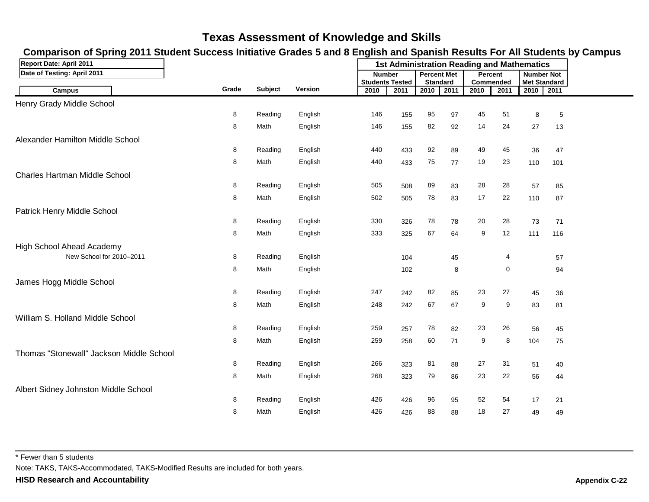| <b>Report Date: April 2011</b>           |       |                |         |                        | <b>1st Administration Reading and Mathematics</b> |                    |        |           |         |                     |      |  |
|------------------------------------------|-------|----------------|---------|------------------------|---------------------------------------------------|--------------------|--------|-----------|---------|---------------------|------|--|
| Date of Testing: April 2011              |       |                |         | <b>Number</b>          |                                                   | <b>Percent Met</b> |        |           | Percent | <b>Number Not</b>   |      |  |
|                                          | Grade | <b>Subject</b> | Version | <b>Students Tested</b> |                                                   | <b>Standard</b>    |        | Commended |         | <b>Met Standard</b> |      |  |
| Campus                                   |       |                |         | 2010                   | 2011                                              | 2010               | 2011   | 2010      | 2011    | 2010                | 2011 |  |
| Henry Grady Middle School                |       |                |         |                        |                                                   |                    |        |           |         |                     |      |  |
|                                          | 8     | Reading        | English | 146                    | 155                                               | 95                 | 97     | 45        | 51      | 8                   | 5    |  |
|                                          | 8     | Math           | English | 146                    | 155                                               | 82                 | 92     | 14        | 24      | 27                  | 13   |  |
| Alexander Hamilton Middle School         |       |                |         |                        |                                                   |                    |        |           |         |                     |      |  |
|                                          | 8     | Reading        | English | 440                    | 433                                               | 92                 | 89     | 49        | 45      | 36                  | 47   |  |
|                                          | 8     | Math           | English | 440                    | 433                                               | 75                 | 77     | 19        | 23      | 110                 | 101  |  |
| <b>Charles Hartman Middle School</b>     |       |                |         |                        |                                                   |                    |        |           |         |                     |      |  |
|                                          | 8     | Reading        | English | 505                    | 508                                               | 89                 | 83     | 28        | 28      | 57                  | 85   |  |
|                                          | 8     | Math           | English | 502                    | 505                                               | 78                 | 83     | 17        | 22      | 110                 | 87   |  |
|                                          |       |                |         |                        |                                                   |                    |        |           |         |                     |      |  |
| Patrick Henry Middle School              | 8     | Reading        | English | 330                    | 326                                               | 78                 | 78     | 20        | 28      | 73                  | 71   |  |
|                                          |       |                |         |                        |                                                   |                    |        |           |         |                     |      |  |
|                                          | 8     | Math           | English | 333                    | 325                                               | 67                 | 64     | 9         | 12      | 111                 | 116  |  |
| <b>High School Ahead Academy</b>         |       |                |         |                        |                                                   |                    |        |           |         |                     |      |  |
| New School for 2010-2011                 | 8     | Reading        | English |                        | 104                                               |                    | 45     |           | 4       |                     | 57   |  |
|                                          | 8     | Math           | English |                        | 102                                               |                    | $\bf8$ |           | 0       |                     | 94   |  |
| James Hogg Middle School                 |       |                |         |                        |                                                   |                    |        |           |         |                     |      |  |
|                                          | 8     | Reading        | English | 247                    | 242                                               | 82                 | 85     | 23        | $27\,$  | 45                  | 36   |  |
|                                          | 8     | Math           | English | 248                    | 242                                               | 67                 | 67     | 9         | 9       | 83                  | 81   |  |
| William S. Holland Middle School         |       |                |         |                        |                                                   |                    |        |           |         |                     |      |  |
|                                          | 8     | Reading        | English | 259                    | 257                                               | 78                 | 82     | 23        | 26      | 56                  | 45   |  |
|                                          | 8     | Math           | English | 259                    | 258                                               | 60                 | 71     | 9         | 8       | 104                 | 75   |  |
| Thomas "Stonewall" Jackson Middle School |       |                |         |                        |                                                   |                    |        |           |         |                     |      |  |
|                                          | 8     | Reading        | English | 266                    | 323                                               | 81                 | 88     | 27        | 31      | 51                  | 40   |  |
|                                          | 8     | Math           | English | 268                    | 323                                               | 79                 | 86     | 23        | 22      | 56                  | 44   |  |
|                                          |       |                |         |                        |                                                   |                    |        |           |         |                     |      |  |
| Albert Sidney Johnston Middle School     |       |                |         |                        |                                                   |                    |        |           |         |                     |      |  |
|                                          | 8     | Reading        | English | 426                    | 426                                               | 96                 | 95     | 52        | 54      | 17                  | 21   |  |
|                                          | 8     | Math           | English | 426                    | 426                                               | 88                 | 88     | 18        | 27      | 49                  | 49   |  |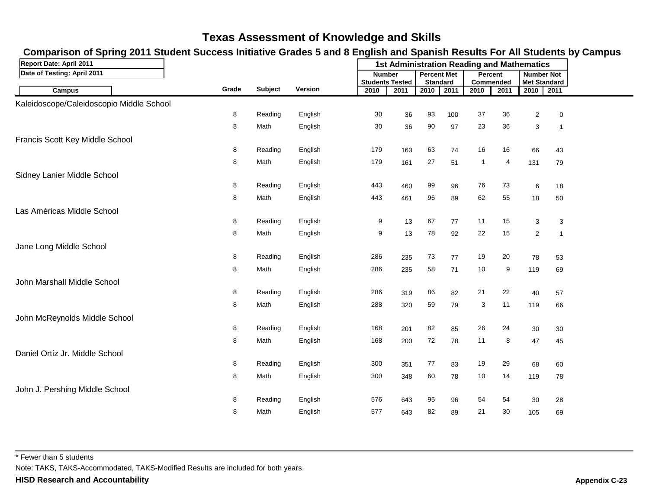| <b>Report Date: April 2011</b>           |       |                |         |                  | 1st Administration Reading and Mathematics |                    |                 |                |           |                   |                     |  |
|------------------------------------------|-------|----------------|---------|------------------|--------------------------------------------|--------------------|-----------------|----------------|-----------|-------------------|---------------------|--|
| Date of Testing: April 2011              |       |                |         | <b>Number</b>    |                                            | <b>Percent Met</b> |                 | Percent        |           | <b>Number Not</b> |                     |  |
|                                          | Grade | <b>Subject</b> | Version |                  | <b>Students Tested</b>                     |                    | <b>Standard</b> |                | Commended |                   | <b>Met Standard</b> |  |
| Campus                                   |       |                |         | 2010             | 2011                                       | 2010               | 2011            | 2010           | 2011      | 2010              | 2011                |  |
| Kaleidoscope/Caleidoscopio Middle School |       |                |         |                  |                                            |                    |                 |                |           |                   |                     |  |
|                                          | 8     | Reading        | English | 30               | 36                                         | 93                 | 100             | 37             | 36        | $\overline{2}$    | $\mathbf 0$         |  |
|                                          | 8     | Math           | English | 30               | 36                                         | 90                 | 97              | 23             | 36        | 3                 | $\overline{1}$      |  |
| Francis Scott Key Middle School          |       |                |         |                  |                                            |                    |                 |                |           |                   |                     |  |
|                                          | 8     | Reading        | English | 179              | 163                                        | 63                 | 74              | 16             | 16        | 66                | 43                  |  |
|                                          | 8     | Math           | English | 179              | 161                                        | 27                 | 51              | $\overline{1}$ | 4         | 131               | 79                  |  |
| Sidney Lanier Middle School              |       |                |         |                  |                                            |                    |                 |                |           |                   |                     |  |
|                                          | 8     | Reading        | English | 443              | 460                                        | 99                 | 96              | 76             | 73        | 6                 | 18                  |  |
|                                          | 8     | Math           | English | 443              | 461                                        | 96                 | 89              | 62             | 55        | 18                | 50                  |  |
| Las Américas Middle School               |       |                |         |                  |                                            |                    |                 |                |           |                   |                     |  |
|                                          | 8     | Reading        | English | 9                | 13                                         | 67                 | 77              | 11             | 15        | 3                 | $\sqrt{3}$          |  |
|                                          | 8     | Math           | English | $\boldsymbol{9}$ | 13                                         | 78                 | 92              | 22             | 15        | $\overline{2}$    | $\overline{1}$      |  |
|                                          |       |                |         |                  |                                            |                    |                 |                |           |                   |                     |  |
| Jane Long Middle School                  | 8     | Reading        | English | 286              | 235                                        | 73                 | 77              | 19             | 20        | 78                | 53                  |  |
|                                          |       |                |         |                  |                                            |                    |                 |                |           |                   |                     |  |
|                                          | 8     | Math           | English | 286              | 235                                        | 58                 | 71              | 10             | 9         | 119               | 69                  |  |
| John Marshall Middle School              |       |                |         |                  |                                            |                    |                 |                |           |                   |                     |  |
|                                          | 8     | Reading        | English | 286              | 319                                        | 86                 | 82              | 21             | 22        | 40                | 57                  |  |
|                                          | 8     | Math           | English | 288              | 320                                        | 59                 | 79              | 3              | 11        | 119               | 66                  |  |
| John McReynolds Middle School            |       |                |         |                  |                                            |                    |                 |                |           |                   |                     |  |
|                                          | 8     | Reading        | English | 168              | 201                                        | 82                 | 85              | 26             | 24        | 30                | 30                  |  |
|                                          | 8     | Math           | English | 168              | 200                                        | 72                 | 78              | 11             | 8         | 47                | 45                  |  |
| Daniel Ortíz Jr. Middle School           |       |                |         |                  |                                            |                    |                 |                |           |                   |                     |  |
|                                          | 8     | Reading        | English | 300              | 351                                        | 77                 | 83              | 19             | 29        | 68                | 60                  |  |
|                                          | 8     | Math           | English | 300              | 348                                        | 60                 | 78              | 10             | 14        | 119               | 78                  |  |
| John J. Pershing Middle School           |       |                |         |                  |                                            |                    |                 |                |           |                   |                     |  |
|                                          | 8     | Reading        | English | 576              | 643                                        | 95                 | 96              | 54             | 54        | 30                | 28                  |  |
|                                          | 8     | Math           | English | 577              | 643                                        | 82                 | 89              | 21             | 30        | 105               | 69                  |  |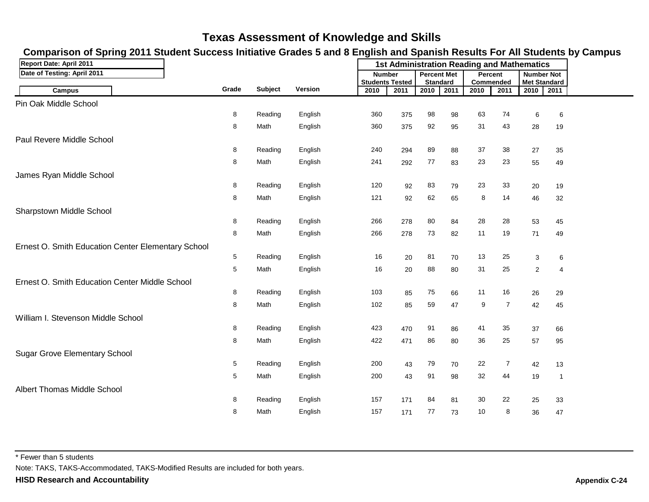| Report Date: April 2011                            |       |                |         |                                | <b>1st Administration Reading and Mathematics</b> |                         |      |                   |                |                             |                |  |
|----------------------------------------------------|-------|----------------|---------|--------------------------------|---------------------------------------------------|-------------------------|------|-------------------|----------------|-----------------------------|----------------|--|
| Date of Testing: April 2011                        |       |                |         | <b>Number</b>                  |                                                   | <b>Percent Met</b>      |      | Percent           |                | <b>Number Not</b>           |                |  |
| <b>Campus</b>                                      | Grade | <b>Subject</b> | Version | <b>Students Tested</b><br>2010 | 2011                                              | <b>Standard</b><br>2010 | 2011 | Commended<br>2010 | 2011           | <b>Met Standard</b><br>2010 | 2011           |  |
| Pin Oak Middle School                              |       |                |         |                                |                                                   |                         |      |                   |                |                             |                |  |
|                                                    | 8     | Reading        | English | 360                            | 375                                               | 98                      | 98   | 63                | 74             | 6                           | 6              |  |
|                                                    | 8     | Math           | English | 360                            | 375                                               | 92                      | 95   | 31                | 43             | 28                          | 19             |  |
| Paul Revere Middle School                          |       |                |         |                                |                                                   |                         |      |                   |                |                             |                |  |
|                                                    | 8     | Reading        | English | 240                            | 294                                               | 89                      | 88   | 37                | 38             | 27                          | 35             |  |
|                                                    | 8     | Math           | English | 241                            |                                                   |                         |      |                   | 23             |                             |                |  |
|                                                    |       |                |         |                                | 292                                               | 77                      | 83   | 23                |                | 55                          | 49             |  |
| James Ryan Middle School                           | 8     | Reading        | English | 120                            | 92                                                | 83                      | 79   | 23                | 33             | 20                          |                |  |
|                                                    | 8     |                |         |                                |                                                   |                         |      |                   |                |                             | 19             |  |
|                                                    |       | Math           | English | 121                            | 92                                                | 62                      | 65   | 8                 | 14             | 46                          | 32             |  |
| Sharpstown Middle School                           |       |                |         | 266                            |                                                   |                         |      |                   |                |                             |                |  |
|                                                    | 8     | Reading        | English |                                | 278                                               | 80                      | 84   | 28                | 28             | 53                          | 45             |  |
|                                                    | 8     | Math           | English | 266                            | 278                                               | 73                      | 82   | 11                | 19             | 71                          | 49             |  |
| Ernest O. Smith Education Center Elementary School |       |                |         |                                |                                                   |                         |      |                   |                |                             |                |  |
|                                                    | 5     | Reading        | English | 16                             | 20                                                | 81                      | 70   | 13                | 25             | 3                           | 6              |  |
|                                                    | 5     | Math           | English | 16                             | $20\,$                                            | 88                      | 80   | 31                | 25             | $\boldsymbol{2}$            | $\overline{4}$ |  |
| Ernest O. Smith Education Center Middle School     |       |                |         |                                |                                                   |                         |      |                   |                |                             |                |  |
|                                                    | 8     | Reading        | English | 103                            | 85                                                | 75                      | 66   | 11                | 16             | 26                          | 29             |  |
|                                                    | 8     | Math           | English | 102                            | 85                                                | 59                      | 47   | 9                 | $\overline{7}$ | 42                          | 45             |  |
| William I. Stevenson Middle School                 |       |                |         |                                |                                                   |                         |      |                   |                |                             |                |  |
|                                                    | 8     | Reading        | English | 423                            | 470                                               | 91                      | 86   | 41                | 35             | 37                          | 66             |  |
|                                                    | 8     | Math           | English | 422                            | 471                                               | 86                      | 80   | 36                | 25             | 57                          | 95             |  |
| <b>Sugar Grove Elementary School</b>               |       |                |         |                                |                                                   |                         |      |                   |                |                             |                |  |
|                                                    | 5     | Reading        | English | 200                            | 43                                                | 79                      | 70   | 22                | $\overline{7}$ | 42                          | 13             |  |
|                                                    | 5     | Math           | English | 200                            | 43                                                | 91                      | 98   | 32                | 44             | 19                          | $\overline{1}$ |  |
| Albert Thomas Middle School                        |       |                |         |                                |                                                   |                         |      |                   |                |                             |                |  |
|                                                    | 8     | Reading        | English | 157                            | 171                                               | 84                      | 81   | 30                | 22             | 25                          | 33             |  |
|                                                    | 8     | Math           | English | 157                            | 171                                               | 77                      | 73   | 10                | 8              | 36                          | 47             |  |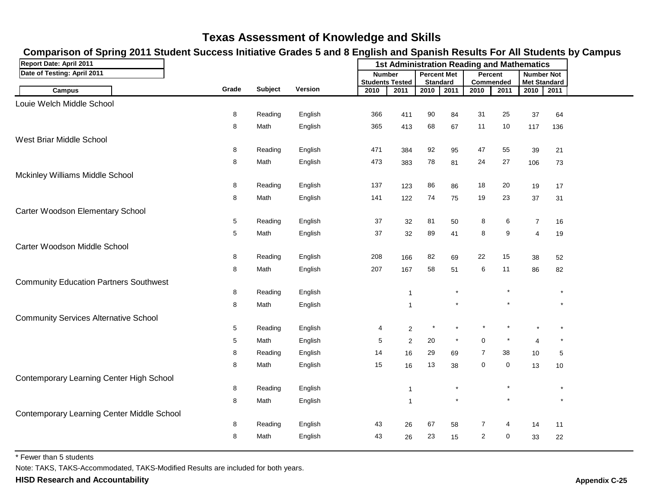# **Comparison of Spring 2011 Student Success Initiative Grades 5 and 8 English and Spanish Results For All Students by Campus**

| Report Date: April 2011                           |                 |         |         | <b>1st Administration Reading and Mathematics</b> |                |                         |         |                |                   |                             |             |
|---------------------------------------------------|-----------------|---------|---------|---------------------------------------------------|----------------|-------------------------|---------|----------------|-------------------|-----------------------------|-------------|
| Date of Testing: April 2011                       |                 |         |         | <b>Number</b>                                     |                | <b>Percent Met</b>      |         | Percent        |                   | <b>Number Not</b>           |             |
| Campus                                            | Grade           | Subject | Version | <b>Students Tested</b><br>2010                    | 2011           | <b>Standard</b><br>2010 | 2011    | 2010           | Commended<br>2011 | <b>Met Standard</b><br>2010 | 2011        |
|                                                   |                 |         |         |                                                   |                |                         |         |                |                   |                             |             |
| Louie Welch Middle School                         |                 |         |         |                                                   |                |                         |         |                |                   |                             |             |
|                                                   | 8               | Reading | English | 366                                               | 411            | 90                      | 84      | 31             | 25                | 37                          | 64          |
|                                                   | 8               | Math    | English | 365                                               | 413            | 68                      | 67      | 11             | 10                | 117                         | 136         |
| West Briar Middle School                          |                 |         |         |                                                   |                |                         |         |                |                   |                             |             |
|                                                   | 8               | Reading | English | 471                                               | 384            | 92                      | 95      | 47             | 55                | 39                          | 21          |
|                                                   | 8               | Math    | English | 473                                               | 383            | 78                      | 81      | 24             | 27                | 106                         | 73          |
| Mckinley Williams Middle School                   |                 |         |         |                                                   |                |                         |         |                |                   |                             |             |
|                                                   | 8               | Reading | English | 137                                               | 123            | 86                      | 86      | 18             | 20                | 19                          | 17          |
|                                                   | 8               | Math    | English | 141                                               | 122            | 74                      | 75      | 19             | 23                | 37                          | 31          |
| Carter Woodson Elementary School                  |                 |         |         |                                                   |                |                         |         |                |                   |                             |             |
|                                                   | 5               | Reading | English | 37                                                | 32             | 81                      | 50      | 8              | 6                 | $\overline{7}$              | 16          |
|                                                   | 5               | Math    | English | 37                                                | 32             | 89                      | 41      | 8              | 9                 | 4                           | 19          |
| Carter Woodson Middle School                      |                 |         |         |                                                   |                |                         |         |                |                   |                             |             |
|                                                   | 8               | Reading | English | 208                                               | 166            | 82                      | 69      | 22             | 15                | 38                          | 52          |
|                                                   | 8               | Math    | English | 207                                               | 167            | 58                      | 51      | 6              | 11                | 86                          | 82          |
|                                                   |                 |         |         |                                                   |                |                         |         |                |                   |                             |             |
| <b>Community Education Partners Southwest</b>     | 8               | Reading | English |                                                   | $\mathbf{1}$   |                         |         |                | $\star$           |                             | $\star$     |
|                                                   |                 |         |         |                                                   |                |                         |         |                |                   |                             |             |
|                                                   | 8               | Math    | English |                                                   | $\mathbf{1}$   |                         |         |                |                   |                             |             |
| <b>Community Services Alternative School</b>      |                 |         |         |                                                   |                | $\star$                 |         |                |                   |                             |             |
|                                                   | $5\phantom{.0}$ | Reading | English | 4                                                 | $\overline{2}$ |                         |         |                |                   |                             | $\star$     |
|                                                   | 5               | Math    | English | 5                                                 | $\mathbf 2$    | 20                      | $\star$ | $\mathbf 0$    | $\star$           | 4                           | $\star$     |
|                                                   | 8               | Reading | English | 14                                                | 16             | 29                      | 69      | $\overline{7}$ | 38                | 10                          | $\,$ 5 $\,$ |
|                                                   | 8               | Math    | English | 15                                                | 16             | 13                      | 38      | $\mathbf 0$    | $\mathbf 0$       | 13                          | $10$        |
| Contemporary Learning Center High School          |                 |         |         |                                                   |                |                         |         |                |                   |                             |             |
|                                                   | 8               | Reading | English |                                                   | $\mathbf{1}$   |                         | $\star$ |                | $\star$           |                             | $\star$     |
|                                                   | 8               | Math    | English |                                                   | $\mathbf{1}$   |                         | $\star$ |                |                   |                             | $\star$     |
| <b>Contemporary Learning Center Middle School</b> |                 |         |         |                                                   |                |                         |         |                |                   |                             |             |
|                                                   | 8               | Reading | English | 43                                                | 26             | 67                      | 58      | $\overline{7}$ | $\overline{4}$    | 14                          | 11          |
|                                                   | 8               | Math    | English | 43                                                | 26             | 23                      | 15      | $\overline{c}$ | $\mathbf 0$       | 33                          | 22          |
|                                                   |                 |         |         |                                                   |                |                         |         |                |                   |                             |             |

\* Fewer than 5 students

Note: TAKS, TAKS-Accommodated, TAKS-Modified Results are included for both years.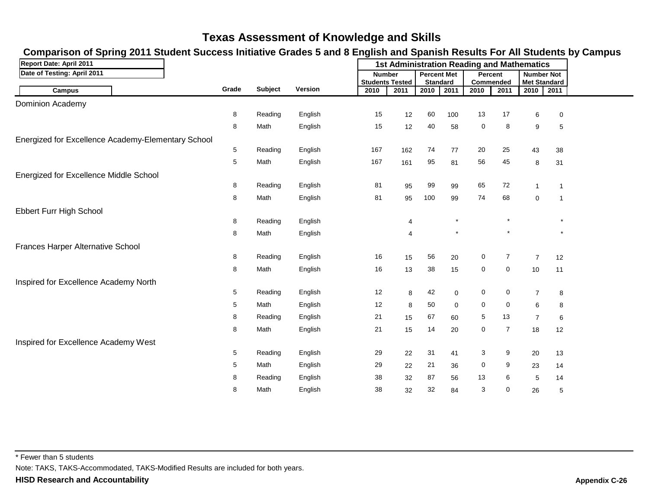| Report Date: April 2011                            |            |                 |         |          |                                         |          |                         |                   |                | <b>1st Administration Reading and Mathematics</b> |                             |
|----------------------------------------------------|------------|-----------------|---------|----------|-----------------------------------------|----------|-------------------------|-------------------|----------------|---------------------------------------------------|-----------------------------|
| Date of Testing: April 2011                        |            |                 |         |          | <b>Number</b><br><b>Students Tested</b> |          | <b>Percent Met</b>      |                   | Percent        |                                                   | <b>Number Not</b>           |
| Campus                                             | Grade      | <b>Subject</b>  | Version | 2010     | 2011                                    | 2010     | <b>Standard</b><br>2011 | Commended<br>2010 | 2011           | 2010                                              | <b>Met Standard</b><br>2011 |
| Dominion Academy                                   |            |                 |         |          |                                         |          |                         |                   |                |                                                   |                             |
|                                                    | 8          | Reading         | English | 15       | 12                                      | 60       | 100                     | 13                | 17             | 6                                                 | 0                           |
|                                                    | 8          | Math            | English | 15       | 12                                      | 40       | 58                      | $\mathbf 0$       | 8              | 9                                                 | $\overline{5}$              |
| Energized for Excellence Academy-Elementary School |            |                 |         |          |                                         |          |                         |                   |                |                                                   |                             |
|                                                    | $\sqrt{5}$ | Reading         | English | 167      | 162                                     | 74       | 77                      | 20                | 25             | 43                                                | 38                          |
|                                                    | 5          | Math            | English | 167      | 161                                     | 95       | 81                      | 56                | 45             | 8                                                 | 31                          |
| Energized for Excellence Middle School             |            |                 |         |          |                                         |          |                         |                   |                |                                                   |                             |
|                                                    | 8          | Reading         | English | 81       | 95                                      | 99       | 99                      | 65                | 72             | $\mathbf{1}$                                      | $\overline{1}$              |
|                                                    | 8          | Math            | English | 81       | 95                                      | 100      | 99                      | 74                | 68             | $\mathbf 0$                                       | $\overline{1}$              |
| Ebbert Furr High School                            |            |                 |         |          |                                         |          |                         |                   |                |                                                   |                             |
|                                                    | 8          | Reading         | English |          | 4                                       |          | $\star$                 |                   | $\star$        |                                                   | $\star$                     |
|                                                    | 8          | Math            | English |          | $\overline{4}$                          |          | $\star$                 |                   |                |                                                   | $\star$                     |
| Frances Harper Alternative School                  |            |                 |         |          |                                         |          |                         |                   |                |                                                   |                             |
|                                                    | 8          | Reading         | English | 16       | 15                                      | 56       | 20                      | $\mathbf 0$       | $\overline{7}$ | $\overline{7}$                                    | 12                          |
|                                                    | 8          | Math            | English | $16\,$   | 13                                      | 38       | 15                      | $\mathbf 0$       | $\mathbf 0$    | 10                                                | 11                          |
| Inspired for Excellence Academy North              |            |                 |         |          |                                         |          |                         |                   |                |                                                   |                             |
|                                                    | 5          | Reading         | English | 12       | 8                                       | 42       | $\mathbf 0$             | $\mathbf 0$       | $\mathbf 0$    | $\overline{7}$                                    | 8                           |
|                                                    | 5          | Math            | English | 12       | 8                                       | 50       | $\mathbf 0$             | $\mathbf 0$       | $\mathbf 0$    | 6                                                 | 8                           |
|                                                    | 8          | Reading         | English | 21       | 15                                      | 67       | 60                      | 5                 | 13             | $\overline{7}$                                    | 6                           |
|                                                    | 8          | Math            | English | 21       | 15                                      | 14       | 20                      | 0                 | $\overline{7}$ | 18                                                | 12                          |
| Inspired for Excellence Academy West               | 5          |                 | English |          |                                         |          |                         | 3                 |                |                                                   |                             |
|                                                    |            | Reading<br>Math |         | 29<br>29 | 22                                      | 31<br>21 | 41                      |                   | 9              | 20                                                | 13                          |
|                                                    | 5          | Reading         | English |          | 22                                      |          | 36                      | 0                 | 9              | 23                                                | 14                          |
|                                                    | 8          |                 | English | 38       | 32                                      | 87       | 56                      | 13                | 6              | 5                                                 | 14                          |
|                                                    | 8          | Math            | English | 38       | 32                                      | 32       | 84                      | 3                 | 0              | 26                                                | 5                           |